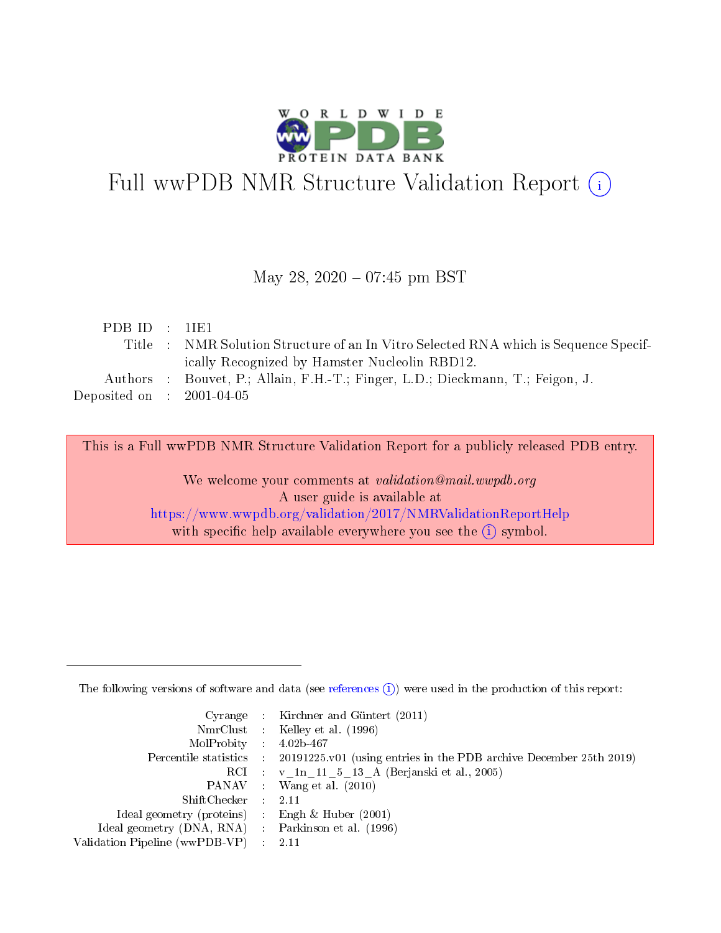

# Full wwPDB NMR Structure Validation Report (i)

### May 28,  $2020 - 07:45$  pm BST

| PDBID : IIE1                |                                                                                      |
|-----------------------------|--------------------------------------------------------------------------------------|
|                             | Title : NMR Solution Structure of an In Vitro Selected RNA which is Sequence Specif- |
|                             | ically Recognized by Hamster Nucleolin RBD12.                                        |
|                             | Authors : Bouvet, P.; Allain, F.H.-T.; Finger, L.D.; Dieckmann, T.; Feigon, J.       |
| Deposited on : $2001-04-05$ |                                                                                      |

This is a Full wwPDB NMR Structure Validation Report for a publicly released PDB entry. We welcome your comments at *validation@mail.wwpdb.org* A user guide is available at <https://www.wwpdb.org/validation/2017/NMRValidationReportHelp> with specific help available everywhere you see the  $(i)$  symbol.

The following versions of software and data (see [references](https://www.wwpdb.org/validation/2017/NMRValidationReportHelp#references)  $(1)$ ) were used in the production of this report:

|                                                    | Cyrange : Kirchner and Güntert $(2011)$                                                    |
|----------------------------------------------------|--------------------------------------------------------------------------------------------|
|                                                    | NmrClust : Kelley et al. (1996)                                                            |
| $MolProbability$ 4.02b-467                         |                                                                                            |
|                                                    | Percentile statistics : 20191225.v01 (using entries in the PDB archive December 25th 2019) |
|                                                    | RCI : v 1n 11 5 13 A (Berjanski et al., 2005)                                              |
|                                                    | PANAV Wang et al. (2010)                                                                   |
| $ShiftChecker$ : 2.11                              |                                                                                            |
| Ideal geometry (proteins) : Engh $\&$ Huber (2001) |                                                                                            |
| Ideal geometry (DNA, RNA) Parkinson et al. (1996)  |                                                                                            |
| Validation Pipeline (wwPDB-VP)                     | 2.11                                                                                       |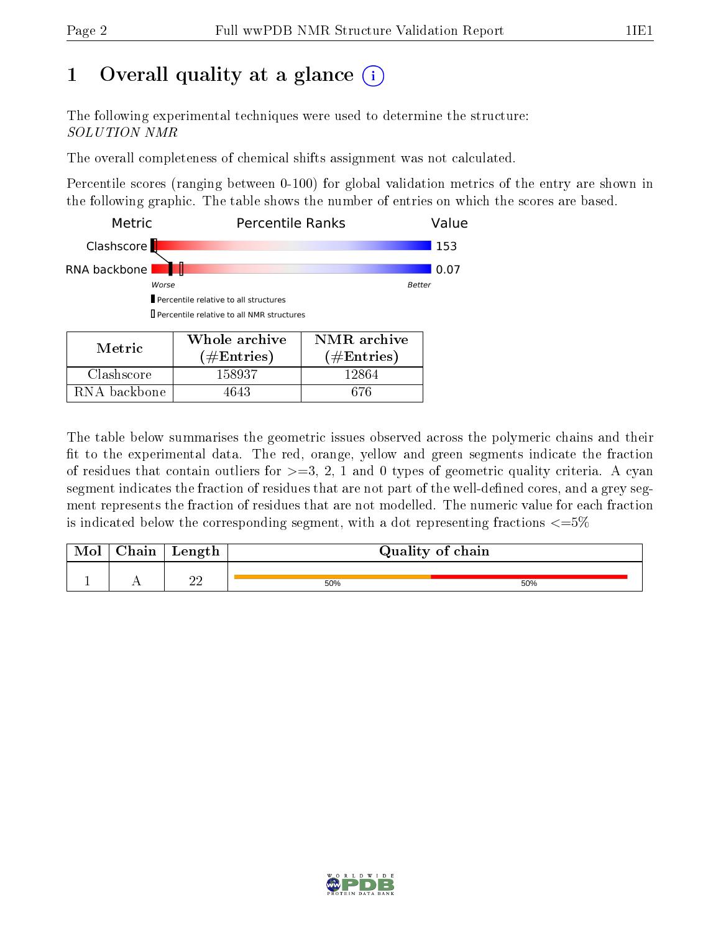## 1 [O](https://www.wwpdb.org/validation/2017/NMRValidationReportHelp#overall_quality)verall quality at a glance  $(i)$

The following experimental techniques were used to determine the structure: SOLUTION NMR

The overall completeness of chemical shifts assignment was not calculated.

Percentile scores (ranging between 0-100) for global validation metrics of the entry are shown in the following graphic. The table shows the number of entries on which the scores are based.

| Metric       | <b>Percentile Ranks</b>                            | Value                  |      |  |  |  |
|--------------|----------------------------------------------------|------------------------|------|--|--|--|
| Clashscore   |                                                    |                        |      |  |  |  |
| RNA backbone |                                                    |                        | 0.07 |  |  |  |
| Worse        | <b>Better</b>                                      |                        |      |  |  |  |
|              | Percentile relative to all structures              |                        |      |  |  |  |
|              | <b>I</b> Percentile relative to all NMR structures |                        |      |  |  |  |
|              | Whole archive                                      | NMR archive            |      |  |  |  |
| Metric       | $\# \mathrm{Entries})$                             | $(\#\mathrm{Entries})$ |      |  |  |  |
| Clashscore   | 158937                                             | 12864                  |      |  |  |  |

RNA backbone | 4643 | 676

The table below summarises the geometric issues observed across the polymeric chains and their fit to the experimental data. The red, orange, yellow and green segments indicate the fraction of residues that contain outliers for  $>=3, 2, 1$  and 0 types of geometric quality criteria. A cyan segment indicates the fraction of residues that are not part of the well-defined cores, and a grey segment represents the fraction of residues that are not modelled. The numeric value for each fraction is indicated below the corresponding segment, with a dot representing fractions  $\epsilon = 5\%$ 

| 'hain | Length   |     | Quality of chain |
|-------|----------|-----|------------------|
|       | ററ<br>∠∠ | 50% | 50%              |

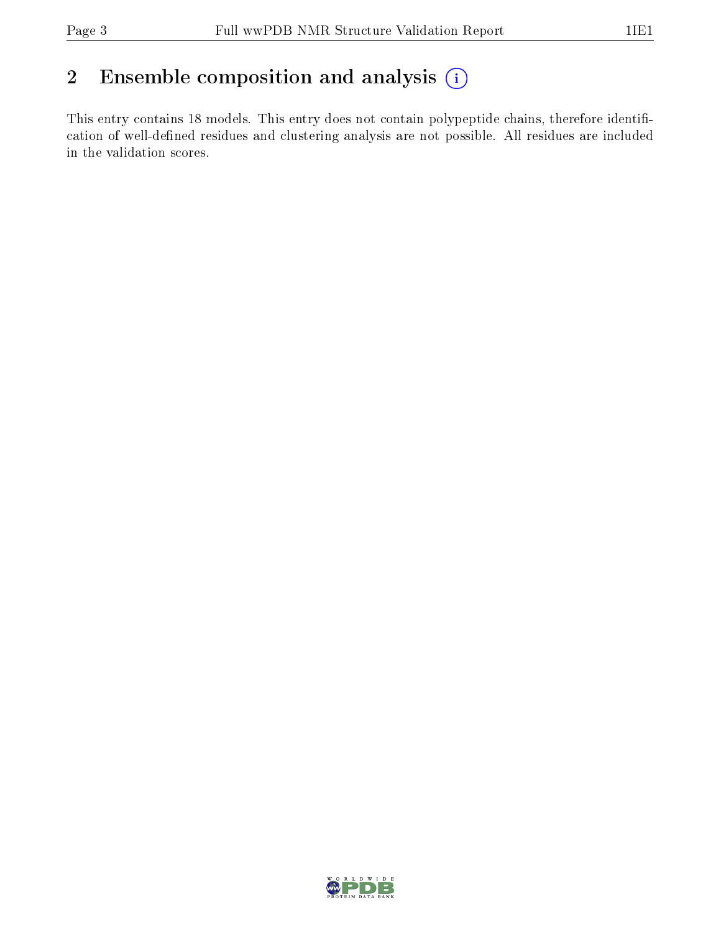## 2 Ensemble composition and analysis  $(i)$

This entry contains 18 models. This entry does not contain polypeptide chains, therefore identification of well-defined residues and clustering analysis are not possible. All residues are included in the validation scores.

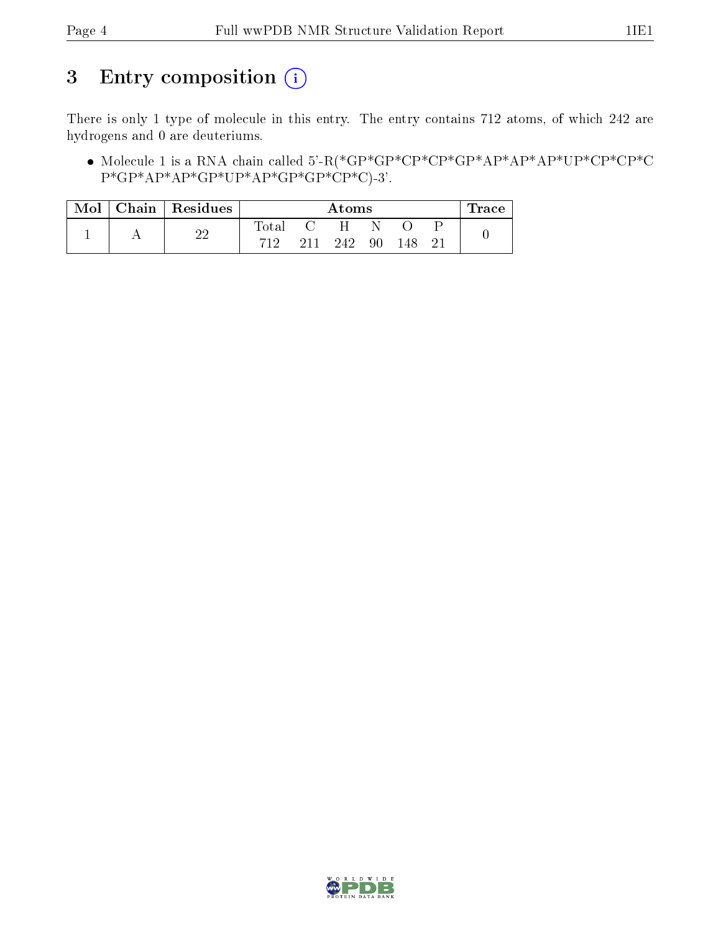## 3 Entry composition (i)

There is only 1 type of molecule in this entry. The entry contains 712 atoms, of which 242 are hydrogens and 0 are deuteriums.

 Molecule 1 is a RNA chain called 5'-R(\*GP\*GP\*CP\*CP\*GP\*AP\*AP\*AP\*UP\*CP\*CP\*C  $P*GP*AP*AP*GP*UP*AP*GP*GP*CP*CP*CP*C$ )-3'.

| Mol | Chain   Residues | Atoms          |     |     |    | ⊥race |    |  |
|-----|------------------|----------------|-----|-----|----|-------|----|--|
|     | ററ               | $_{\rm Total}$ |     | H   | N  |       |    |  |
|     |                  | 719            | 211 | 242 | 90 | 148   | 21 |  |

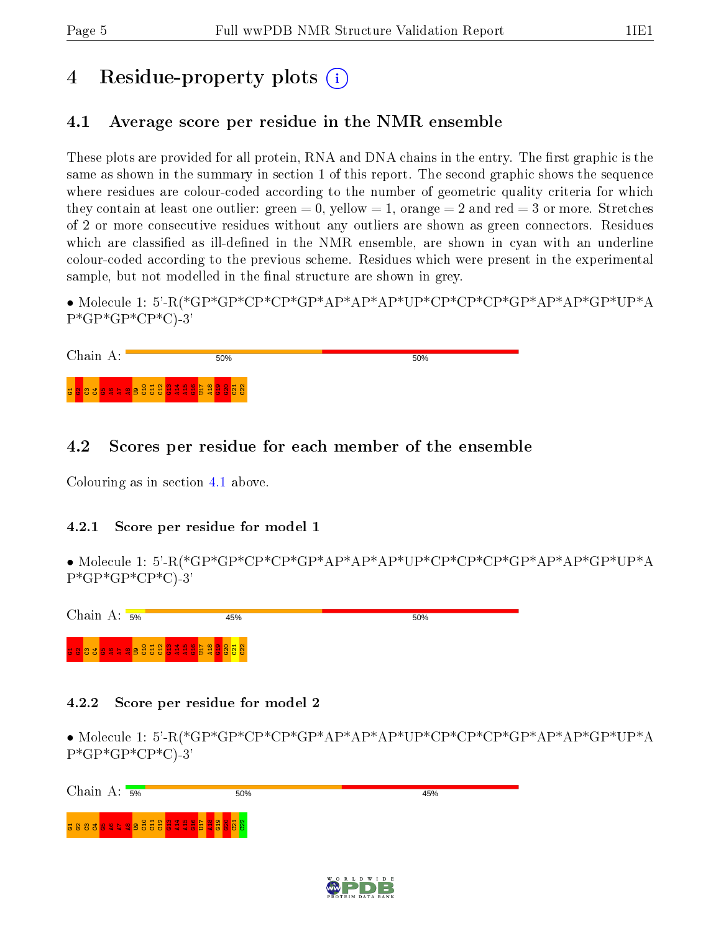## 4 Residue-property plots  $\binom{1}{1}$

## <span id="page-4-0"></span>4.1 Average score per residue in the NMR ensemble

These plots are provided for all protein, RNA and DNA chains in the entry. The first graphic is the same as shown in the summary in section 1 of this report. The second graphic shows the sequence where residues are colour-coded according to the number of geometric quality criteria for which they contain at least one outlier: green  $= 0$ , yellow  $= 1$ , orange  $= 2$  and red  $= 3$  or more. Stretches of 2 or more consecutive residues without any outliers are shown as green connectors. Residues which are classified as ill-defined in the NMR ensemble, are shown in cyan with an underline colour-coded according to the previous scheme. Residues which were present in the experimental sample, but not modelled in the final structure are shown in grey.

• Molecule 1: 5'-R(\*GP\*GP\*CP\*CP\*GP\*AP\*AP\*AP\*UP\*CP\*CP\*CP\*GP\*AP\*AP\*GP\*UP\*A  $P*GP*CP*CP*C$ -3'

| Chain A: | 50%                                                          | 50% |  |
|----------|--------------------------------------------------------------|-----|--|
|          | <mark>. 8 8 3 8 9 4 4 9 6 6 6 6 6 6 7 6 6 6 6 6 6 6 6</mark> |     |  |

## 4.2 Scores per residue for each member of the ensemble

Colouring as in section [4.1](#page-4-0) above.

#### 4.2.1 Score per residue for model 1

• Molecule 1: 5'-R(\*GP\*GP\*CP\*CP\*GP\*AP\*AP\*AP\*UP\*CP\*CP\*CP\*GP\*AP\*AP\*GP\*UP\*A P\*GP\*GP\*CP\*C)-3'



#### 4.2.2 Score per residue for model 2

• Molecule 1: 5'-R(\*GP\*GP\*CP\*CP\*GP\*AP\*AP\*AP\*UP\*CP\*CP\*CP\*GP\*AP\*AP\*GP\*UP\*A P\*GP\*GP\*CP\*C)-3'

Chain A:  $\frac{1}{5\%}$ 50% 45% ដូនខូឌ<mark>នទទទទទទទទទទទទទទទទ</mark>  $\frac{1}{2}$  $\frac{9}{21}$  $\mathbf{\overline{a}}$  $\Xi$  $\mathbb{S}^2$ 

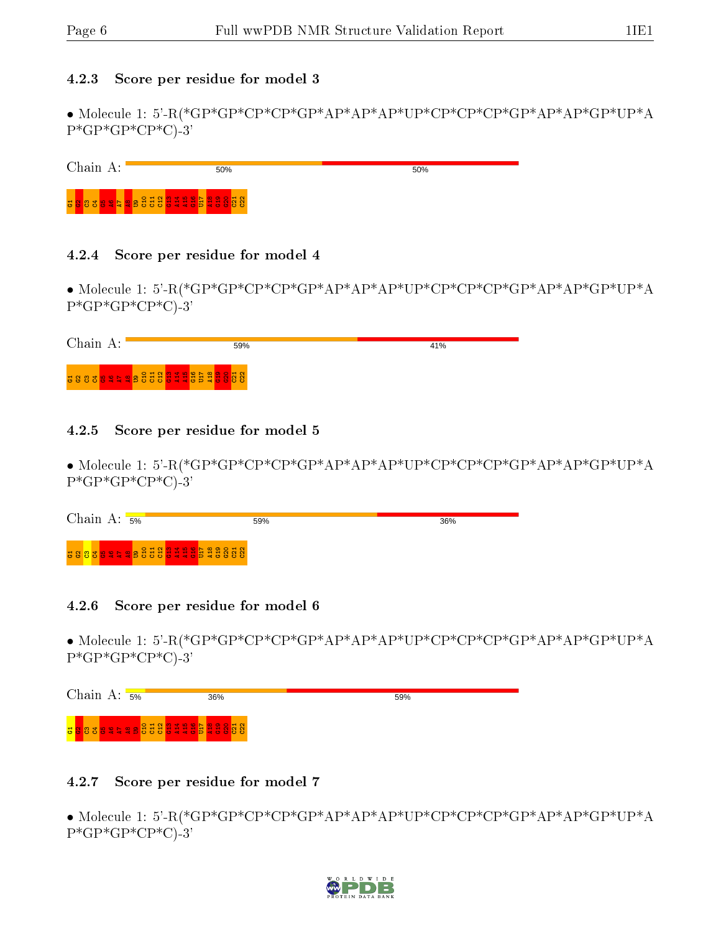#### 4.2.3 Score per residue for model 3

• Molecule 1: 5'-R(\*GP\*GP\*CP\*CP\*GP\*AP\*AP\*AP\*UP\*CP\*CP\*CP\*GP\*AP\*AP\*GP\*UP\*A  $P*GP*CP*CP*C$ -3'

| Chain | 50%                                                                                                                         | 50% |
|-------|-----------------------------------------------------------------------------------------------------------------------------|-----|
|       | <mark>ដ</mark> ្ឋ នេះ និង និង និង អ្នក និង អ្នក និង អ្នក និង អ្នក និង អ្នក និង អ្នក និង អ្នក និង អ្នក និង អ្នក និង អ្នក និង |     |

#### 4.2.4 Score per residue for model 4

• Molecule 1: 5'-R(\*GP\*GP\*CP\*CP\*GP\*AP\*AP\*AP\*UP\*CP\*CP\*CP\*GP\*AP\*AP\*GP\*UP\*A  $P*GP*CP*CP*C$ -3'

| Chain<br>А: | 59% | 41% |
|-------------|-----|-----|
|             |     |     |

#### 4.2.5 Score per residue for model 5

• Molecule 1: 5'-R(\*GP\*GP\*CP\*CP\*GP\*AP\*AP\*AP\*UP\*CP\*CP\*CP\*GP\*AP\*AP\*GP\*UP\*A  $P*GP*CP*CP*C$ -3'

| Chain A:<br>5% | 59%                              | 36% |
|----------------|----------------------------------|-----|
|                | <b>38838949833333493533</b> 8888 |     |

#### 4.2.6 Score per residue for model 6

• Molecule 1: 5'-R(\*GP\*GP\*CP\*CP\*GP\*AP\*AP\*AP\*UP\*CP\*CP\*CP\*GP\*AP\*AP\*GP\*UP\*A  $P*GP*CP*CP*C$ -3'



#### 4.2.7 Score per residue for model 7

• Molecule 1: 5'-R(\*GP\*GP\*CP\*CP\*GP\*AP\*AP\*AP\*UP\*CP\*CP\*CP\*GP\*AP\*AP\*GP\*UP\*A  $P*GP*GP*CP*C$ -3'

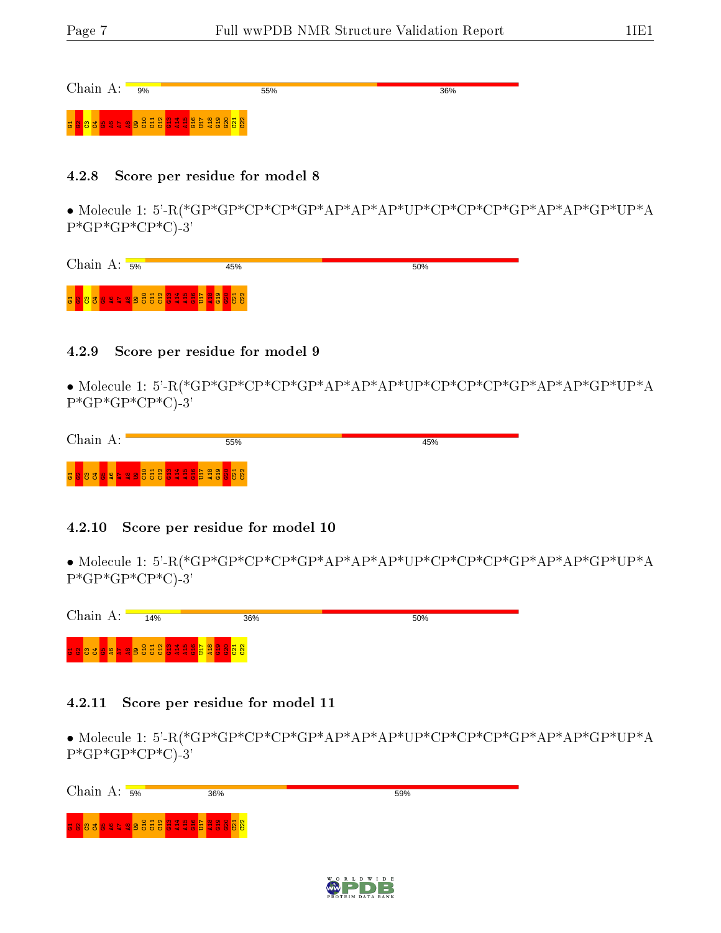36%

Chain A: <sub>9%</sub>

5 <mark>3 3 3 5 4 9 6 5 5 5 5 5 5 5 5 5 6 6 6 7 6</mark>

#### 4.2.8 Score per residue for model 8

• Molecule 1: 5'-R(\*GP\*GP\*CP\*CP\*GP\*AP\*AP\*AP\*UP\*CP\*CP\*CP\*GP\*AP\*AP\*GP\*UP\*A  $P*GP*CP*CP*C$ -3'

| Chain A: | 5% | 45% | 50% |
|----------|----|-----|-----|
|          |    |     |     |

55%

#### 4.2.9 Score per residue for model 9

• Molecule 1: 5'-R(\*GP\*GP\*CP\*CP\*GP\*AP\*AP\*AP\*UP\*CP\*CP\*CP\*GP\*AP\*AP\*GP\*UP\*A  $P*GP*CP*CP*C$ -3'

| Chain<br>д.                 | 55%                  | 45% |
|-----------------------------|----------------------|-----|
| <b>NO</b><br>$\blacksquare$ | 88888888888888888888 |     |

#### 4.2.10 Score per residue for model 10

• Molecule 1: 5'-R(\*GP\*GP\*CP\*CP\*GP\*AP\*AP\*AP\*UP\*CP\*CP\*CP\*GP\*AP\*AP\*GP\*UP\*A  $P*GP*CP*CP*C$ -3'



#### 4.2.11 Score per residue for model 11

• Molecule 1: 5'-R(\*GP\*GP\*CP\*CP\*GP\*AP\*AP\*AP\*UP\*CP\*CP\*CP\*GP\*AP\*AP\*GP\*UP\*A  $P*GP*GP*CP*C$ -3'

| Chain A: $\frac{1}{5\%}$ |                       | 36% | 59% |
|--------------------------|-----------------------|-----|-----|
|                          | 588388858888888888888 |     |     |
|                          |                       |     |     |

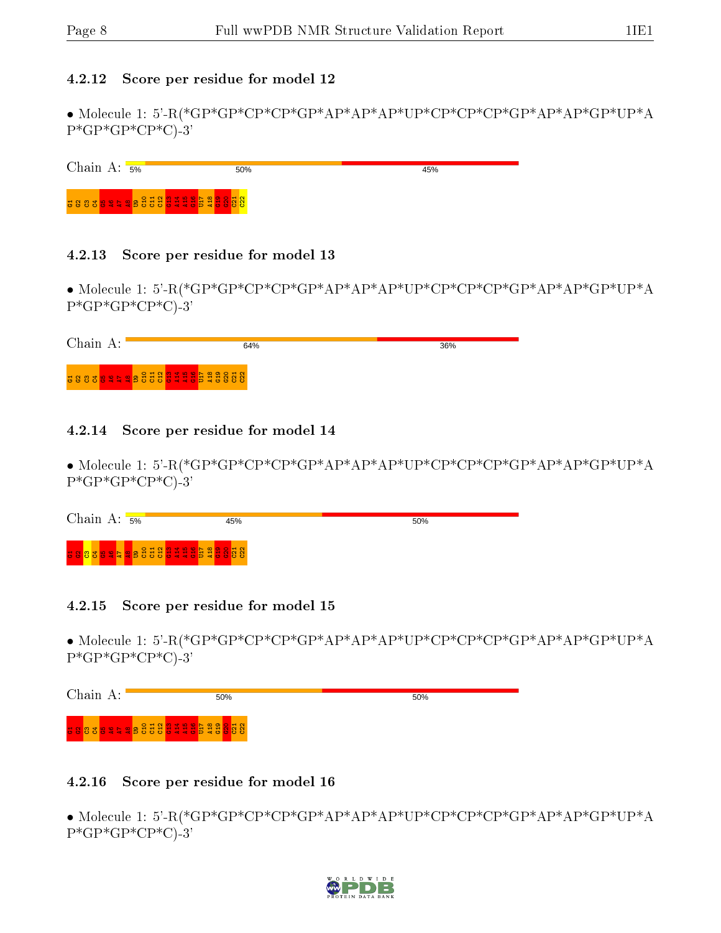#### 4.2.12 Score per residue for model 12

• Molecule 1: 5'-R(\*GP\*GP\*CP\*CP\*GP\*AP\*AP\*AP\*UP\*CP\*CP\*CP\*GP\*AP\*AP\*GP\*UP\*A  $P*GP*CP*CP*C$ -3'

Chain A: 5% 45% 50% ដូនខេត្ត<mark>ទទួ</mark>ន ខ្ញុំដូនដូ<mark>ន</mark> ដូ  $\frac{9}{15}$ U17  $\frac{8}{4}$  $\frac{9}{5}$  $\mathbf{\mathbf{S}}$  $\frac{2}{2}$  $\Xi$ 

#### 4.2.13 Score per residue for model 13

• Molecule 1: 5'-R(\*GP\*GP\*CP\*CP\*GP\*AP\*AP\*AP\*UP\*CP\*CP\*CP\*GP\*AP\*AP\*GP\*UP\*A  $P*GP*CP*CP*C$ -3'

| Chain<br>А: | 64% | 36% |
|-------------|-----|-----|
|             |     |     |

#### 4.2.14 Score per residue for model 14

• Molecule 1: 5'-R(\*GP\*GP\*CP\*CP\*GP\*AP\*AP\*AP\*UP\*CP\*CP\*CP\*GP\*AP\*AP\*GP\*UP\*A  $P*GP*CP*CP*C$ -3'

| Chain<br>А: | 5%                                  | '5% | 50% |
|-------------|-------------------------------------|-----|-----|
|             | <mark>3833895995333311353388</mark> |     |     |

#### 4.2.15 Score per residue for model 15

• Molecule 1: 5'-R(\*GP\*GP\*CP\*CP\*GP\*AP\*AP\*AP\*UP\*CP\*CP\*CP\*GP\*AP\*AP\*GP\*UP\*A  $P*GP*CP*CP*C$ -3'

Chain A: 50% 50% G1G2C3C4G5A6A7 A8 U9 C10 C11 C12 G13 A14 A15 G16 U17 A18 G19 G20 C21 C22

#### 4.2.16 Score per residue for model 16

• Molecule 1: 5'-R(\*GP\*GP\*CP\*CP\*GP\*AP\*AP\*AP\*UP\*CP\*CP\*CP\*GP\*AP\*AP\*GP\*UP\*A  $P^*GP^*GP^*CP^*C$ -3'

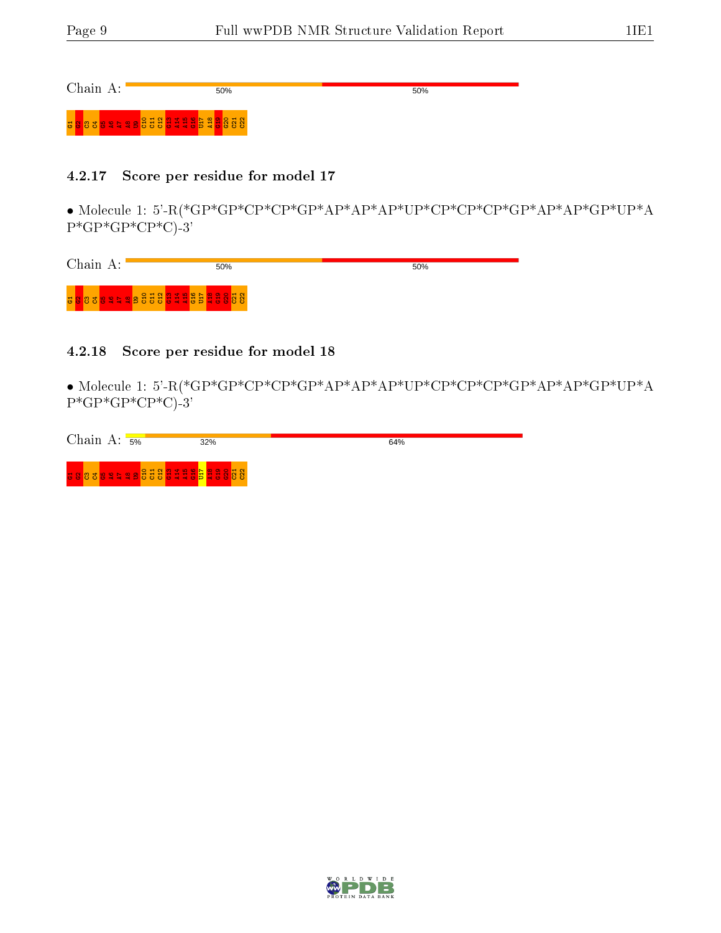Chain A:

50%

5 <mark>8 8 3 9 3 5 5 5 5 5 5 5 6 6 6 6 6 6 6 6 6</mark>

#### 4.2.17 Score per residue for model 17

50%

• Molecule 1: 5'-R(\*GP\*GP\*CP\*CP\*GP\*AP\*AP\*AP\*UP\*CP\*CP\*CP\*GP\*AP\*AP\*GP\*UP\*A  $P*GP*CP*CP*C$ -3'

| Chain<br>А: | 50%                          | 50% |
|-------------|------------------------------|-----|
|             | <b>u 8838994988888988888</b> |     |

#### 4.2.18 Score per residue for model 18

• Molecule 1: 5'-R(\*GP\*GP\*CP\*CP\*GP\*AP\*AP\*AP\*UP\*CP\*CP\*CP\*GP\*AP\*AP\*GP\*UP\*A  $P*GP*CP*CP*C$ -3'

| Chain<br>А. | 5%                                | 32% | 64% |
|-------------|-----------------------------------|-----|-----|
|             | <u>a 888894498888844485488888</u> |     |     |

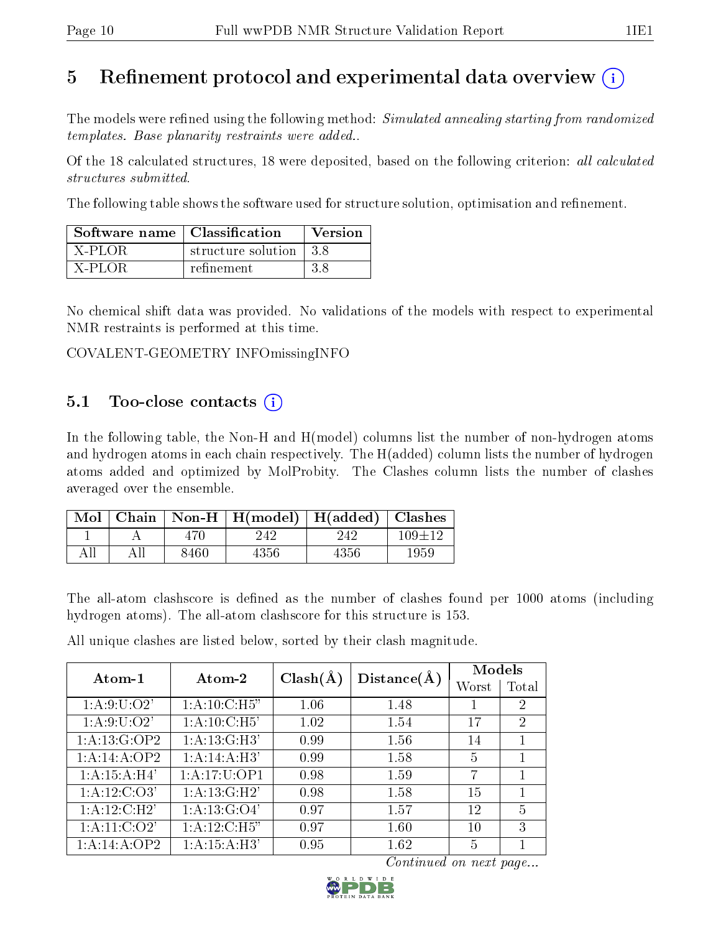## 5 Refinement protocol and experimental data overview  $\overline{()}$

The models were refined using the following method: Simulated annealing starting from randomized templates. Base planarity restraints were added..

Of the 18 calculated structures, 18 were deposited, based on the following criterion: all calculated structures submitted.

The following table shows the software used for structure solution, optimisation and refinement.

| Software name   Classification |                          | <b>Version</b> |
|--------------------------------|--------------------------|----------------|
| X-PLOR                         | structure solution   3.8 |                |
| X-PLOR                         | refinement               | -3.8           |

No chemical shift data was provided. No validations of the models with respect to experimental NMR restraints is performed at this time.

COVALENT-GEOMETRY INFOmissingINFO

## $5.1$  Too-close contacts  $(i)$

In the following table, the Non-H and H(model) columns list the number of non-hydrogen atoms and hydrogen atoms in each chain respectively. The H(added) column lists the number of hydrogen atoms added and optimized by MolProbity. The Clashes column lists the number of clashes averaged over the ensemble.

| $\bf{Mol} \perp$ |      | Chain   Non-H   H(model)   H(added)   Clashes |      |            |
|------------------|------|-----------------------------------------------|------|------------|
|                  | 470. | 242                                           | 242  | $109 + 12$ |
| All              | 8460 | 4356                                          | 4356 | 1959       |

The all-atom clashscore is defined as the number of clashes found per 1000 atoms (including hydrogen atoms). The all-atom clashscore for this structure is 153.

All unique clashes are listed below, sorted by their clash magnitude.

| Atom-1                    | Atom-2                    | $Clash(\AA)$ | Distance(A) | Models |       |
|---------------------------|---------------------------|--------------|-------------|--------|-------|
|                           |                           |              |             | Worst  | Total |
| 1: A:9: U:O2'             | 1: A:10: C:H5"            | 1.06         | 1.48        |        | 2     |
| 1: A:9:U:O2'              | 1: A:10:C:H5'             | 1.02         | 1.54        | 17     | 2     |
| 1:A:13:G:OP2              | $1:A:13:G:\overline{H3'}$ | 0.99         | 1.56        | 14     |       |
| 1:A:14:A:OP2              | 1:A:14:A:H3'              | 0.99         | 1.58        | 5      |       |
| 1: A:15: A:H4'            | 1: A:17: U: OP1           | 0.98         | 1.59        | 7      |       |
| $1:A:12:C:\overline{O3'}$ | 1:A:13:G:H2'              | 0.98         | 1.58        | 15     |       |
| 1:A:12:C:H2'              | 1: A: 13: G: O4'          | 0.97         | 1.57        | 12     | 5     |
| 1: A: 11: C: O2'          | 1: A:12:C:H5"             | 0.97         | 1.60        | 10     | 3     |
| 1:A:14:A:OP2              | 1:A:15:A:H3'              | 0.95         | 1.62        | 5      |       |

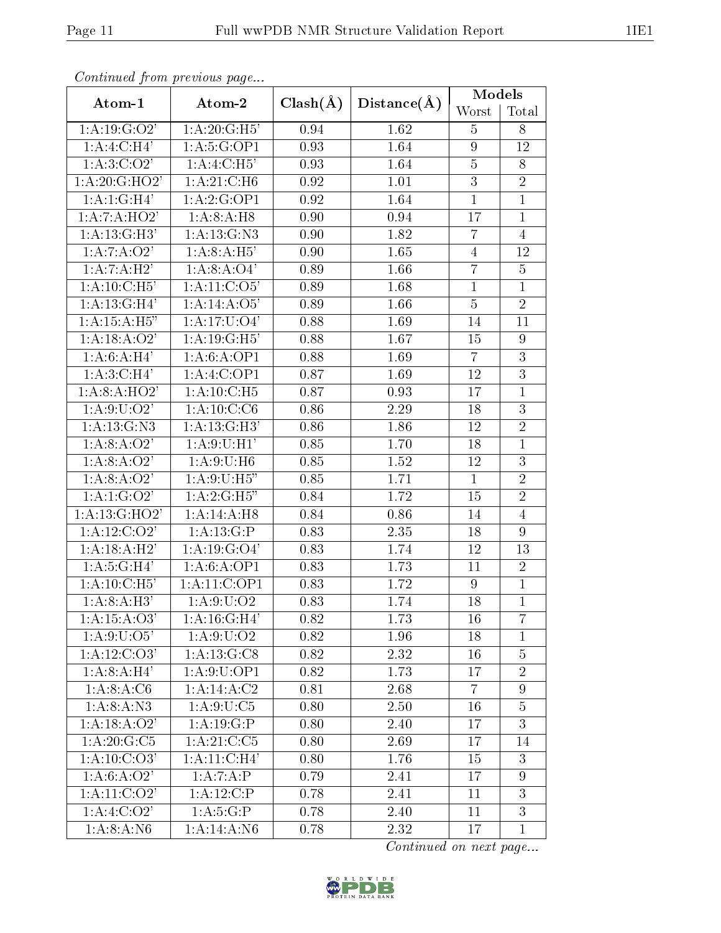| Continued from previous page |                        |                   |             | Models         |                |
|------------------------------|------------------------|-------------------|-------------|----------------|----------------|
| Atom-1                       | Atom-2                 | $Clash(\AA)$      | Distance(A) | Worst          | Total          |
| 1: A:19: G:O2'               | 1:A:20:G:H5'           | 0.94              | 1.62        | 5              | 8              |
| 1:A:4:C:H4'                  | 1:A:5:G:OP1            | 0.93              | 1.64        | 9              | 12             |
| 1: A:3:C:O2'                 | 1:A:4:C:H5'            | 0.93              | 1.64        | $\bf 5$        | 8              |
| 1:A:20:G:HO2'                | 1: A:21: C:H6          | 0.92              | 1.01        | $\overline{3}$ | $\overline{2}$ |
| 1:A:1:G:H4'                  | 1:A:2:G:OP1            | 0.92              | 1.64        | $\mathbf{1}$   | $\mathbf{1}$   |
| 1:A:7:A:HO2'                 | 1: A:8:A:H8            | 0.90              | 0.94        | 17             | $\mathbf{1}$   |
| 1:A:13:G:H3'                 | 1: A: 13: G: N3        | 0.90              | 1.82        | 7              | $\overline{4}$ |
| 1:A:7:A:O2'                  | 1:A:8:A:H5'            | 0.90              | 1.65        | $\overline{4}$ | 12             |
| 1:A:7:A:H2'                  | 1:A:8:A:O4'            | 0.89              | 1.66        | $\overline{7}$ | 5              |
| 1: A:10:C:H5'                | 1: A: 11: C: O5'       | 0.89              | 1.68        | $\mathbf{1}$   | $\mathbf{1}$   |
| 1:A:13:G:H4'                 | 1:A:14:A:O5'           | 0.89              | 1.66        | $\overline{5}$ | $\overline{2}$ |
| 1: A:15:A:H5"                | 1: A:17: U:O4'         | 0.88              | 1.69        | 14             | 11             |
| 1: A: 18: A: O2'             | 1:A:19:G:H5'           | 0.88              | 1.67        | 15             | 9              |
| 1: A:6: A:H4'                | 1:A:6:A:OP1            | 0.88              | 1.69        | $\overline{7}$ | $\overline{3}$ |
| 1:A:3:C:H4'                  | 1:A:4:C:OP1            | 0.87              | 1.69        | 12             | 3              |
| 1: A:8: A:HO2'               | 1: A: 10: C: H5        | $\overline{0.87}$ | 0.93        | 17             | $\mathbf{1}$   |
| 1: A:9: U: O2'               | 1: A:10: C: C6         | 0.86              | 2.29        | 18             | 3              |
| 1: A: 13: G: N3              | 1:A:13:G:H3'           | 0.86              | 1.86        | 12             | $\overline{2}$ |
| 1:A:8:A:O2'                  | 1:A:9:U:H1'            | 0.85              | 1.70        | 18             | $\mathbf{1}$   |
| 1:A:8:A:O2'                  | 1: A:9:U:H6            | 0.85              | 1.52        | 12             | $\mathfrak{Z}$ |
| 1:A:8:A:O2'                  | 1: A:9: U:H5"          | 0.85              | 1.71        | $\mathbf{1}$   | $\overline{2}$ |
| 1:A:1:G:O2'                  | 1: A:2: G:H5"          | 0.84              | 1.72        | 15             | $\overline{2}$ |
| 1:A:13:G:HO2'                | 1:A:14:A:H8            | 0.84              | 0.86        | 14             | $\overline{4}$ |
| 1: A:12: C:O2'               | 1:A:13:G:P             | 0.83              | 2.35        | 18             | 9              |
| 1: A:18:A:H2'                | 1: A: 19: G: O4'       | 0.83              | 1.74        | 12             | 13             |
| 1:A:5:G:H4'                  | 1:A:6:A:OP1            | 0.83              | 1.73        | 11             | $\overline{2}$ |
| 1:A:10:C:H5'                 | 1:A:11:C:OP1           | 0.83              | 1.72        | 9              | $\overline{1}$ |
| 1: A:8:A:H3'                 | 1: A:9:U:O2            | 0.83              | 1.74        | 18             | $\overline{1}$ |
| 1:A:15:A:O3'                 | 1: A:16: G:H4'         | 0.82              | 1.73        | 16             | $\overline{7}$ |
| 1: A:9: U:O5'                | 1: A:9: U:O2           | 0.82              | 1.96        | 18             | $\mathbf{1}$   |
| 1: A:12: C:O3'               | 1: A: 13: G: C8        | 0.82              | 2.32        | 16             | $\overline{5}$ |
| 1: A:8:A:H4'                 | 1: A:9:U:OP1           | 0.82              | 1.73        | 17             | $\overline{2}$ |
| 1:A:8:A:C6                   | 1: A:14: A:C2          | 0.81              | 2.68        | $\overline{7}$ | 9              |
| 1:A:8:A:N3                   | 1: A:9: U: C5          | 0.80              | 2.50        | 16             | $\overline{5}$ |
| 1:A:18:A:O2'                 | 1:A:19:G:P             | 0.80              | 2.40        | 17             | 3              |
| 1:A:20:G:C5                  | 1:A:21:C:C5            | 0.80              | 2.69        | 17             | 14             |
| 1: A:10: C:O3'               | 1:A:11:C:H4'           | 0.80              | 1.76        | 15             | 3              |
| 1:A:6:A:O2'                  | 1:A:7:A:P              | 0.79              | 2.41        | 17             | 9              |
| 1: A: 11: C: O2'             | $1:A:12:C\overline{P}$ | 0.78              | 2.41        | 11             | 3              |
| 1: A:4: C:O2'                | 1: A:5:G:P             | 0.78              | 2.40        | 11             | $\overline{3}$ |
| 1: A:8:A: N6                 | 1:A:14:A:N6            | 0.78              | 2.32        | 17             | $\mathbf{1}$   |

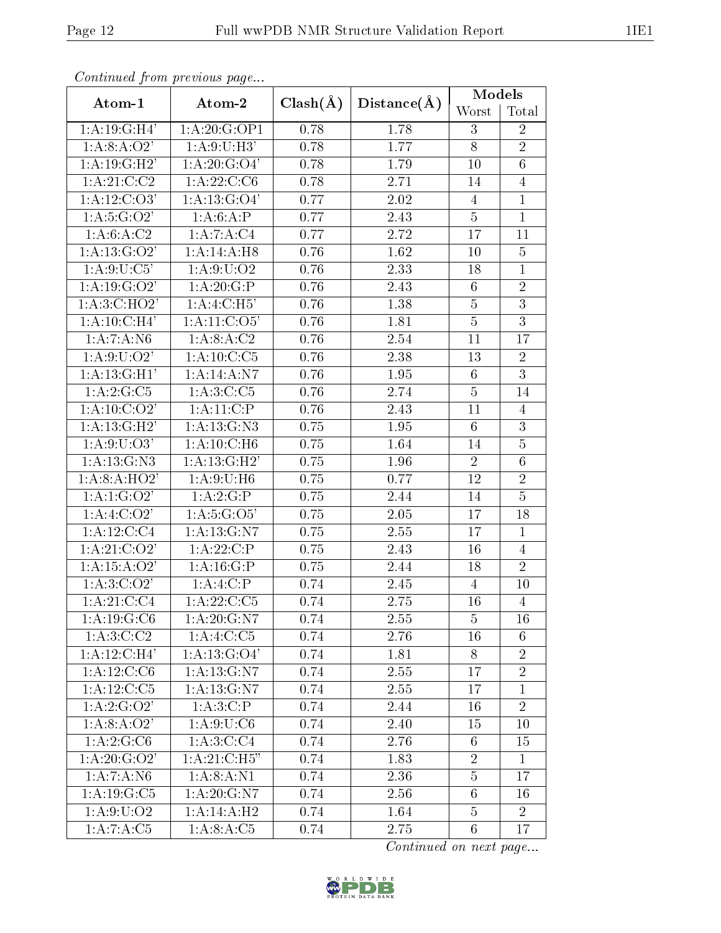|                         | Continuata from previous page |              |             | Models          |                |
|-------------------------|-------------------------------|--------------|-------------|-----------------|----------------|
| Atom-1                  | Atom-2                        | $Clash(\AA)$ | Distance(A) | Worst           | Total          |
| 1:A:19:G:H4'            | 1:A:20:G:OP1                  | 0.78         | 1.78        | 3               | $\overline{2}$ |
| 1: A:8: A:O2'           | 1:A:9:U:H3'                   | 0.78         | 1.77        | 8               | $\overline{2}$ |
| 1:A:19:G:H2'            | 1: A:20: G:O4'                | 0.78         | 1.79        | 10              | $\sqrt{6}$     |
| 1: A:21: C: C2          | 1: A: 22: C: C6               | 0.78         | 2.71        | 14              | $\overline{4}$ |
| 1: A:12: C:O3'          | 1: A: 13: G: O4'              | 0.77         | 2.02        | $\overline{4}$  | $\overline{1}$ |
| 1: A: 5: G: O2'         | 1:A:6:A:P                     | 0.77         | 2.43        | $\overline{5}$  | $\mathbf{1}$   |
| 1: A:6: A:C2            | 1:A:7:A:C4                    | 0.77         | 2.72        | 17              | 11             |
| 1: A: 13: G: O2'        | 1:A:14:A:H8                   | 0.76         | 1.62        | 10              | $\overline{5}$ |
| $1:\overline{A:9:U:C5}$ | 1: A:9: U:O2                  | 0.76         | 2.33        | 18              | $\overline{1}$ |
| 1: A:19: G:O2'          | 1:A:20:G:P                    | 0.76         | 2.43        | $6\phantom{.}6$ | $\overline{2}$ |
| 1: A:3:C:HO2'           | 1:A:4:C:H5'                   | 0.76         | 1.38        | $\overline{5}$  | $\overline{3}$ |
| 1:A:10:C:H4'            | 1: A: 11: C: 05'              | 0.76         | 1.81        | $\overline{5}$  | $\overline{3}$ |
| 1:A:7:A:N6              | 1: A:8:A:C2                   | 0.76         | 2.54        | 11              | 17             |
| 1: A:9: U:O2'           | 1: A: 10: C: C5               | 0.76         | 2.38        | 13              | $\overline{2}$ |
| 1:A:13:G:H1'            | 1:A:14:A:N7                   | 0.76         | 1.95        | $6\phantom{.}6$ | $\overline{3}$ |
| 1: A:2:G:C5             | 1: A:3:C:C5                   | 0.76         | 2.74        | $\overline{5}$  | 14             |
| 1: A: 10: C: O2'        | 1:A:11:C:P                    | 0.76         | 2.43        | 11              | $\overline{4}$ |
| 1:A:13:G:H2'            | 1: A: 13: G: N3               | 0.75         | 1.95        | $6\phantom{.}6$ | $\overline{3}$ |
| 1: A:9:U:O3'            | 1:A:10:C:H6                   | 0.75         | 1.64        | 14              | $\overline{5}$ |
| 1: A: 13: G: N3         | 1:A:13:G:H2'                  | 0.75         | 1.96        | $\overline{2}$  | $\overline{6}$ |
| 1: A:8: A:HO2'          | 1: A:9:U:H6                   | 0.75         | 0.77        | 12              | $\overline{2}$ |
| 1:A:1:G:O2'             | 1:A:2:G:P                     | 0.75         | 2.44        | 14              | $\overline{5}$ |
| 1:A:4:C:O2'             | 1: A:5: G:O5'                 | 0.75         | 2.05        | 17              | 18             |
| 1:A:12:C:C4             | 1: A: 13: G: N7               | 0.75         | 2.55        | 17              | $\mathbf{1}$   |
| 1: A:21: C:O2'          | 1:A:22:C:P                    | 0.75         | 2.43        | 16              | $\overline{4}$ |
| 1:A:15:A:O2'            | $1:\overline{A:16:G:P}$       | 0.75         | 2.44        | 18              | $\overline{2}$ |
| 1: A:3:C:O2'            | 1:A:4:C:P                     | 0.74         | 2.45        | 4               | 10             |
| 1:A:21:C:C4             | 1: A:22:C:C5                  | 0.74         | 2.75        | 16              | $\overline{4}$ |
| 1: A: 19: G: C6         | 1:A:20:G:N7                   | 0.74         | 2.55        | $\overline{5}$  | 16             |
| 1: A:3:C:C2             | 1:A:4:C:C5                    | 0.74         | 2.76        | 16              | 6              |
| 1:A:12:C:H4'            | 1: A: 13: G: O4'              | 0.74         | 1.81        | 8               | $\overline{2}$ |
| 1:A:12:C:C6             | 1: A: 13: G: N7               | 0.74         | 2.55        | 17              | $\overline{2}$ |
| 1: A:12:C:C5            | 1: A: 13: G: N7               | 0.74         | 2.55        | 17              | $\mathbf{1}$   |
| 1: A: 2: G: O2'         | $1:A:3:\overline{C:P}$        | 0.74         | 2.44        | 16              | $\overline{2}$ |
| 1:A:8:A:O2'             | 1: A:9:U:C6                   | 0.74         | 2.40        | 15              | 10             |
| 1:A:2:G:C6              | 1: A:3:C:C4                   | 0.74         | 2.76        | 6               | 15             |
| 1: A:20: G:O2'          | 1: A:21: C:H5"                | 0.74         | 1.83        | $\overline{2}$  | $\mathbf{1}$   |
| 1:A:7:A:N6              | 1: A:8:A:N1                   | 0.74         | 2.36        | $\overline{5}$  | 17             |
| 1: A: 19: G: C5         | 1:A:20:G:N7                   | 0.74         | 2.56        | $6\phantom{.}$  | 16             |
| 1: A:9: U:O2            | 1:A:14:A:H2                   | 0.74         | 1.64        | 5               | $\overline{2}$ |
| 1:A:7:A:C5              | 1: A:8:A:C5                   | 0.74         | 2.75        | $6\,$           | 17             |

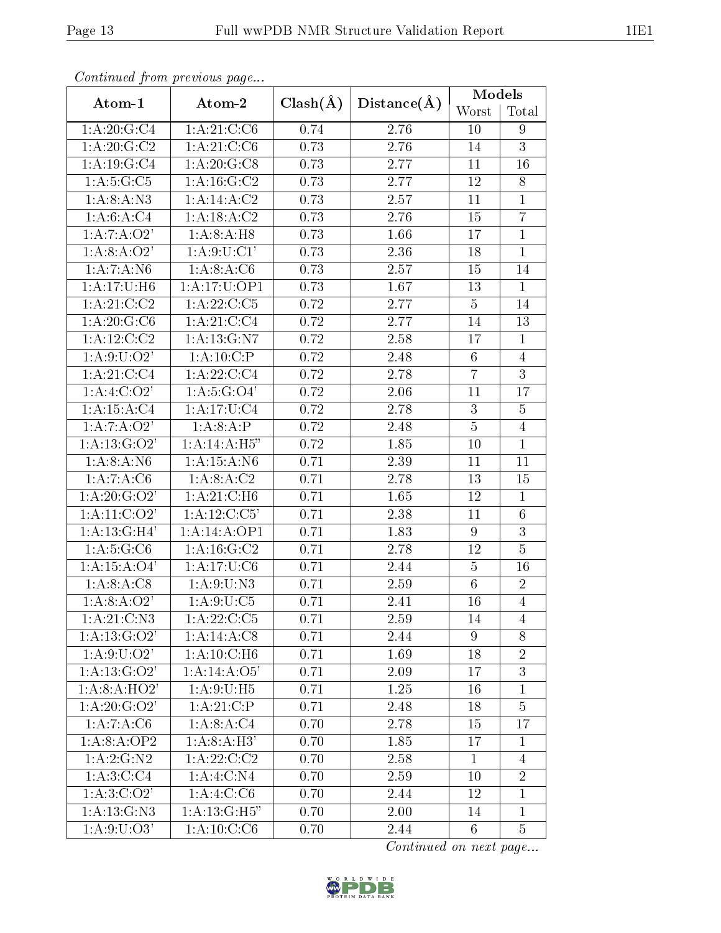| Continuou jiom protivus pago |                   |              |             | Models          |                |
|------------------------------|-------------------|--------------|-------------|-----------------|----------------|
| Atom-1                       | Atom-2            | $Clash(\AA)$ | Distance(A) | Worst           | Total          |
| 1:A:20:G:C4                  | 1:A:21:C:C6       | 0.74         | 2.76        | 10              | 9              |
| 1: A:20: G:C2                | 1: A:21: C: C6    | 0.73         | 2.76        | 14              | $\overline{3}$ |
| 1: A: 19: G: C4              | 1: A: 20: G: C8   | 0.73         | 2.77        | 11              | 16             |
| 1: A:5: G: C5                | 1: A: 16: G: C2   | 0.73         | 2.77        | 12              | 8              |
| 1: A:8:A: N3                 | 1:A:14:A:C2       | 0.73         | 2.57        | 11              | $\mathbf{1}$   |
| 1: A:6:A:C4                  | 1:A:18:A:C2       | 0.73         | 2.76        | 15              | $\overline{7}$ |
| 1:A:7:A:O2'                  | 1:A:8:A:H8        | 0.73         | 1.66        | 17              | $\mathbf{1}$   |
| 1:A:8:A:O2'                  | 1: A:9: U:CI'     | 0.73         | 2.36        | 18              | $\mathbf{1}$   |
| 1:A:7:A:N6                   | 1: A:8:A:C6       | 0.73         | 2.57        | 15              | 14             |
| 1:A:17:U:H6                  | 1:A:17:U:OP1      | 0.73         | 1.67        | 13              | $\mathbf{1}$   |
| 1: A:21: C:C2                | 1: A: 22: C: C5   | 0.72         | 2.77        | $\overline{5}$  | 14             |
| 1: A:20: G: C6               | 1:A:21:C:C4       | 0.72         | 2.77        | 14              | 13             |
| 1: A: 12: C: C2              | 1: A: 13: G: N7   | 0.72         | 2.58        | 17              | $\mathbf{1}$   |
| 1: A:9: U:O2'                | 1:A:10:C:P        | 0.72         | 2.48        | 6               | $\overline{4}$ |
| 1:A:21:C:C4                  | 1: A: 22: C: C4   | 0.72         | 2.78        | $\overline{7}$  | 3              |
| 1:A:4:C:O2'                  | 1: A: 5: G: O4'   | 0.72         | 2.06        | 11              | 17             |
| 1: A: 15: A: C4              | 1: A: 17: U: C4   | 0.72         | 2.78        | 3               | $\overline{5}$ |
| 1:A:7:A:O2'                  | 1:A:8:A:P         | 0.72         | 2.48        | $\overline{5}$  | $\overline{4}$ |
| 1: A: 13: G: O2'             | 1:A:14:A:H5"      | 0.72         | 1.85        | 10              | $\mathbf{1}$   |
| 1: A:8:A: N6                 | 1: A: 15: A: N6   | 0.71         | 2.39        | 11              | 11             |
| 1:A:7:A:C6                   | 1: A:8:A:C2       | 0.71         | 2.78        | 13              | 15             |
| 1: A:20: G:O2'               | 1: A:21: C:H6     | 0.71         | 1.65        | 12              | $\mathbf{1}$   |
| $1:A:\overline{11:C:O2'}$    | 1:A:12:C:C5'      | 0.71         | 2.38        | 11              | 6              |
| 1:A:13:G:H4'                 | 1:A:14:A:OP1      | 0.71         | 1.83        | $\overline{9}$  | 3              |
| 1: A:5: G: C6                | 1: A: 16: G: C2   | 0.71         | 2.78        | 12              | $\overline{5}$ |
| 1: A: 15: A: O4'             | 1:A:17:U:C6       | 0.71         | 2.44        | $\overline{5}$  | 16             |
| 1: A:8: A: C8                | 1: A:9:U:N3       | 0.71         | 2.59        | $6\phantom{.}6$ | $\overline{2}$ |
| 1: A:8: A:O2'                | 1: A:9:U:C5       | 0.71         | 2.41        | 16              | $\overline{4}$ |
| 1: A:21:C:N3                 | $1: A: 22: C: C5$ | 0.71         | 2.59        | 14              | 4              |
| 1: A: 13: G: O2'             | 1:A:14:A:C8       | 0.71         | 2.44        | 9               | 8              |
| 1: A:9: U:O2'                | 1: A:10: C:H6     | 0.71         | 1.69        | 18              | $\overline{2}$ |
| 1: A: 13: G: O2'             | 1:A:14:A:O5'      | 0.71         | 2.09        | 17              | 3              |
| $1:A:8:\overline{A:HO2'}$    | 1: A:9:U:H5       | 0.71         | 1.25        | 16              | $\mathbf{1}$   |
| 1: A:20: G:O2'               | 1:A:21:C:P        | 0.71         | 2.48        | 18              | $\overline{5}$ |
| 1:A:7:A:C6                   | 1: A:8:A:C4       | 0.70         | 2.78        | 15              | 17             |
| 1:A:8:A:OP2                  | 1:A:8:A:H3'       | 0.70         | 1.85        | 17              | $\mathbf{1}$   |
| 1:A:2:G:N2                   | 1: A:22:C:C2      | 0.70         | 2.58        | $\mathbf{1}$    | $\overline{4}$ |
| 1:A:3:C:C4                   | 1:A:4:C:N4        | 0.70         | 2.59        | 10              | $\overline{2}$ |
| 1: A:3:C:O2'                 | 1:A:4:C:C6        | 0.70         | 2.44        | 12              | $\mathbf{1}$   |
| 1: A: 13: G: N3              | 1: A:13: G:H5"    | 0.70         | 2.00        | 14              | $\mathbf{1}$   |
| 1: A:9: U: O3'               | 1: A:10: C: C6    | 0.70         | 2.44        | 6               | $\overline{5}$ |

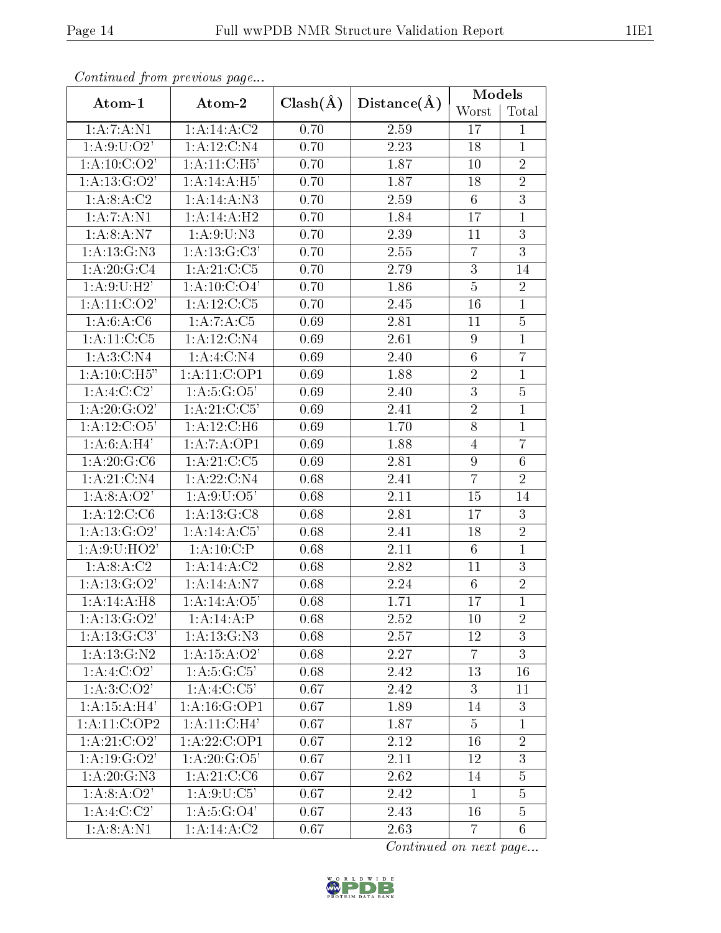| Continuea from previous page |                  |              |                   | Models           |                 |
|------------------------------|------------------|--------------|-------------------|------------------|-----------------|
| Atom-1                       | Atom-2           | $Clash(\AA)$ | Distance(A)       | Worst            | Total           |
| 1:A:7:A:N1                   | 1:A:14:A:C2      | 0.70         | 2.59              | 17               | 1               |
| 1: A:9: U:O2'                | 1:A:12:C:N4      | 0.70         | 2.23              | 18               | $\mathbf{1}$    |
| 1: A:10: C:O2'               | 1: A:11:C:H5'    | 0.70         | 1.87              | 10               | $\overline{2}$  |
| 1: A: 13: G: O2'             | 1:A:14:A:H5'     | 0.70         | 1.87              | 18               | $\overline{2}$  |
| 1: A:8: A:C2                 | 1:A:14:A:N3      | 0.70         | 2.59              | $6\phantom{.}6$  | $\overline{3}$  |
| 1: A: 7: A: N1               | 1:A:14:A:H2      | 0.70         | 1.84              | 17               | $\overline{1}$  |
| 1: A:8: A: N7                | 1: A:9:U:N3      | 0.70         | 2.39              | 11               | $\overline{3}$  |
| 1: A:13: G:N3                | 1:A:13:G:C3'     | 0.70         | 2.55              | $\overline{7}$   | 3               |
| 1: A:20: G:C4                | 1: A:21: C:C5    | 0.70         | 2.79              | $\overline{3}$   | 14              |
| 1: A:9:U:H2'                 | 1: A: 10: C: O4' | 0.70         | 1.86              | $\overline{5}$   | $\overline{2}$  |
| 1: A:11: C:O2'               | 1:A:12:C:C5      | 0.70         | $\overline{2.45}$ | 16               | $\overline{1}$  |
| 1: A:6: A: C6                | 1:A:7:A:C5       | 0.69         | 2.81              | 11               | $\overline{5}$  |
| 1:A:11:C:C5                  | 1:A:12:C:N4      | 0.69         | 2.61              | $\boldsymbol{9}$ | $\overline{1}$  |
| 1: A:3:C:N4                  | 1: A:4: C: N4    | 0.69         | 2.40              | $6\phantom{.}6$  | $\overline{7}$  |
| 1:A:10:C:H5"                 | 1:A:11:C:OP1     | 0.69         | 1.88              | $\overline{2}$   | $\overline{1}$  |
| 1: A:4:C:C2'                 | 1: A: 5: G: O5'  | 0.69         | 2.40              | $\overline{3}$   | $\overline{5}$  |
| $1:A:20:\overline{G:O2'}$    | 1:A:21:C:C5'     | 0.69         | 2.41              | $\overline{2}$   | $\mathbf{1}$    |
| 1: A:12: C:O5'               | 1: A: 12: C: H6  | 0.69         | 1.70              | $\overline{8}$   | $\mathbf{1}$    |
| 1: A:6:A:H4'                 | 1:A:7:A:OP1      | 0.69         | 1.88              | $\overline{4}$   | $\overline{7}$  |
| 1: A:20: G: C6               | 1: A:21: C: C5   | 0.69         | 2.81              | 9                | $6\phantom{.}6$ |
| 1: A:21: C: N4               | 1:A:22:C:N4      | 0.68         | 2.41              | $\overline{7}$   | $\overline{2}$  |
| 1:A:8:A:O2'                  | 1: A:9:U:O5'     | 0.68         | 2.11              | 15               | 14              |
| 1:A:12:C:C6                  | 1: A:13: G: C8   | 0.68         | 2.81              | 17               | 3               |
| 1: A: 13: G: O2'             | 1:A:14:A:C5'     | 0.68         | 2.41              | 18               | $\overline{2}$  |
| 1: A:9:U:HO2'                | 1:A:10:C:P       | 0.68         | 2.11              | $6\phantom{.}6$  | $\mathbf{1}$    |
| 1: A:8: A:C2                 | 1:A:14:A:C2      | 0.68         | 2.82              | 11               | 3               |
| 1: A: 13: G: O2'             | 1: A:14:A: N7    | 0.68         | 2.24              | 6                | $\overline{2}$  |
| 1:A:14:A:H8                  | 1:A:14:A:O5'     | 0.68         | 1.71              | 17               | $\overline{1}$  |
| 1: A: 13: G: O2'             | 1:A:14:A:P       | 0.68         | 2.52              | 10               | $\overline{2}$  |
| 1: A: 13: G: C3'             | 1:A:13:G:N3      | 0.68         | 2.57              | $12\overline{)}$ | 3               |
| 1: A: 13: G: N2              | 1: A:15: A:O2'   | 0.68         | 2.27              | $\overline{7}$   | $\overline{3}$  |
| 1:A:4:C:O2'                  | 1:A:5:G:C5'      | 0.68         | 2.42              | 13               | 16              |
| 1: A:3:C:O2'                 | 1:A:4:C:C5'      | 0.67         | 2.42              | 3                | 11              |
| 1: A:15: A:H4'               | 1: A: 16: G: OP1 | 0.67         | 1.89              | 14               | 3               |
| 1: A: 11: C: OP2             | 1: A:11:C:H4'    | 0.67         | 1.87              | 5                | $\mathbf{1}$    |
| 1: A:21: C:O2'               | 1:A:22:C:OP1     | 0.67         | 2.12              | 16               | $\overline{2}$  |
| 1: A:19: G:O2'               | 1: A: 20: G: O5' | 0.67         | 2.11              | 12               | 3               |
| 1: A:20: G: N3               | 1: A:21: C:C6    | 0.67         | 2.62              | 14               | $\overline{5}$  |
| 1:A:8:A:O2'                  | 1: A:9:U:C5'     | 0.67         | 2.42              | $\mathbf{1}$     | $\overline{5}$  |
| 1:A:4:C:C2'                  | 1: A: 5: G: O4'  | 0.67         | 2.43              | 16               | $\overline{5}$  |
| 1: A:8:A:N1                  | 1:A:14:A:C2      | 0.67         | 2.63              | $\overline{7}$   | $6\phantom{.}6$ |

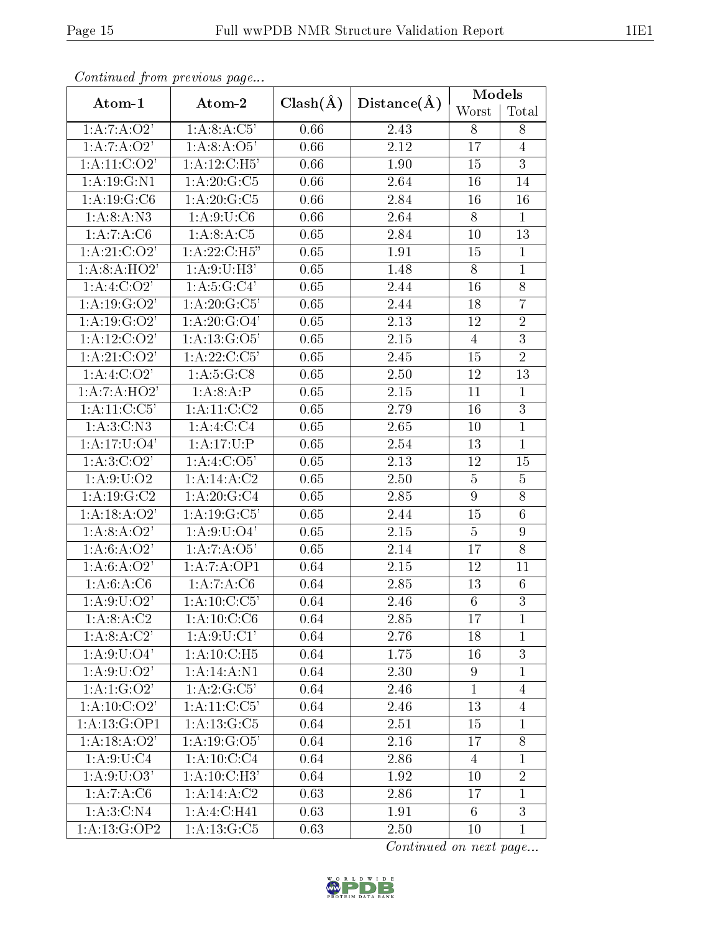| Communica from previous page |                            |              |             | Models           |                |
|------------------------------|----------------------------|--------------|-------------|------------------|----------------|
| Atom-1                       | Atom-2                     | $Clash(\AA)$ | Distance(A) | Worst            | Total          |
| 1:A:7:A:O2'                  | 1: A:8:A:C5'               | 0.66         | 2.43        | 8                | 8              |
| 1:A:7:A:O2'                  | 1:A:8:A:O5'                | 0.66         | 2.12        | 17               | $\overline{4}$ |
| 1: A: 11: C: O2'             | 1: A:12:C:H5'              | 0.66         | 1.90        | 15               | 3              |
| 1: A: 19: G: N1              | 1: A:20: G: C5             | 0.66         | 2.64        | 16               | 14             |
| 1:A:19:G:C6                  | $1:A:20:G:C\overline{5}$   | 0.66         | 2.84        | 16               | 16             |
| 1:A:8:A:N3                   | 1: A:9:U:C6                | 0.66         | 2.64        | 8                | $\mathbf{1}$   |
| 1:A:7:A:C6                   | 1: A:8:A:C5                | 0.65         | 2.84        | 10               | 13             |
| 1: A:21: C:O2'               | 1: A:22:C:H5"              | 0.65         | 1.91        | 15               | $\mathbf{1}$   |
| 1:A:8:A:HO2'                 | 1:A:9:U:H3'                | 0.65         | 1.48        | 8                | $\mathbf{1}$   |
| $1:A:4:C:\overline{O2'}$     | 1:A:5:G:C4'                | 0.65         | 2.44        | 16               | 8              |
| 1: A:19: G:O2'               | 1: A:20: G: C5'            | 0.65         | 2.44        | 18               | $\overline{7}$ |
| 1: A:19: G:O2'               | 1: A:20: G:O4'             | 0.65         | 2.13        | 12               | $\overline{2}$ |
| 1: A:12:C:O2'                | $1:A:13:\overline{G:O5'}$  | 0.65         | 2.15        | $\overline{4}$   | $\overline{3}$ |
| 1: A:21: C:O2'               | 1:A:22:C:C5'               | 0.65         | 2.45        | 15               | $\overline{2}$ |
| 1: A:4:C:O2'                 | 1: A:5: G: C8              | 0.65         | 2.50        | 12               | 13             |
| $1:A:7:A:\overline{HO}2$     | 1:A:8:A:P                  | 0.65         | 2.15        | 11               | $\mathbf{1}$   |
| 1: A: 11: C: C5'             | 1:A:11:C:C2                | 0.65         | 2.79        | 16               | 3              |
| 1: A:3:C: N3                 | 1:A:4:C:C4                 | 0.65         | 2.65        | 10               | $\mathbf{1}$   |
| 1: A:17: U:O4'               | 1: A: 17: U:P              | 0.65         | 2.54        | 13               | $\mathbf{1}$   |
| 1: A:3:C:O2'                 | 1: A:4: C:O5'              | 0.65         | 2.13        | 12               | 15             |
| 1: A:9:U:O2                  | 1:A:14:A:C2                | 0.65         | 2.50        | $\overline{5}$   | $\overline{5}$ |
| 1: A: 19: G: C2              | 1: A:20: G:C4              | 0.65         | 2.85        | 9                | 8              |
| 1:A:18:A:O2'                 | 1: A: 19: G: C5'           | 0.65         | 2.44        | 15               | 6              |
| 1:A:8:A:O2'                  | 1: A:9:U:O4'               | 0.65         | 2.15        | $\overline{5}$   | 9              |
| 1:A:6:A:O2'                  | 1:A:7:A:O5'                | 0.65         | 2.14        | 17               | 8              |
| 1:A:6:A:O2'                  | 1:A:7:A:OP1                | 0.64         | 2.15        | 12               | 11             |
| 1: A:6: A: C6                | 1:A:7:A:C6                 | 0.64         | 2.85        | 13               | 6              |
| 1: A:9: U:O2'                | 1:A:10:C:C5'               | 0.64         | 2.46        | $\overline{6}$   | $\overline{3}$ |
| 1:A:8:A:C2                   | 1: A:10: C: C <sub>6</sub> | 0.64         | 2.85        | 17               | $\mathbf{1}$   |
| 1:A:8:A:C2'                  | 1: A:9:U:Cl'               | 0.64         | 2.76        | 18               | $\mathbf{1}$   |
| 1: A:9: U:O4'                | 1: A: 10: C: H5            | 0.64         | 1.75        | 16               | $\overline{3}$ |
| 1: A:9: U:O2'                | 1:A:14:A:N1                | 0.64         | 2.30        | $\boldsymbol{9}$ | $\mathbf{1}$   |
| 1:A:1:G:O2'                  | 1:A:2:G:C5'                | 0.64         | 2.46        | $\mathbf{1}$     | $\overline{4}$ |
| $1:A:10:\overline{C:O2'}$    | 1:A:11:C:C5'               | 0.64         | 2.46        | 13               | $\overline{4}$ |
| 1:A:13:G:OP1                 | 1: A: 13: G: C5            | 0.64         | 2.51        | 15               | $\mathbf{1}$   |
| 1:A:18:A:O2'                 | 1: A: 19: G: O5'           | 0.64         | 2.16        | 17               | 8              |
| 1: A:9:U:C4                  | 1: A: 10: C: C4            | 0.64         | 2.86        | $\overline{4}$   | 1              |
| $1:\overline{A:9:U:O3}$      | $1:\overline{A:10:C:H3'}$  | 0.64         | 1.92        | 10               | $\overline{2}$ |
| 1:A:7:A:C6                   | 1:A:14:A:C2                | 0.63         | 2.86        | 17               | $\mathbf{1}$   |
| 1: A:3:C:N4                  | 1:A:4:C:H41                | 0.63         | 1.91        | 6                | $\overline{3}$ |
| 1:A:13:G:OP2                 | 1: A: 13: G: C5            | 0.63         | $2.50\,$    | $10\,$           | $\mathbf{1}$   |

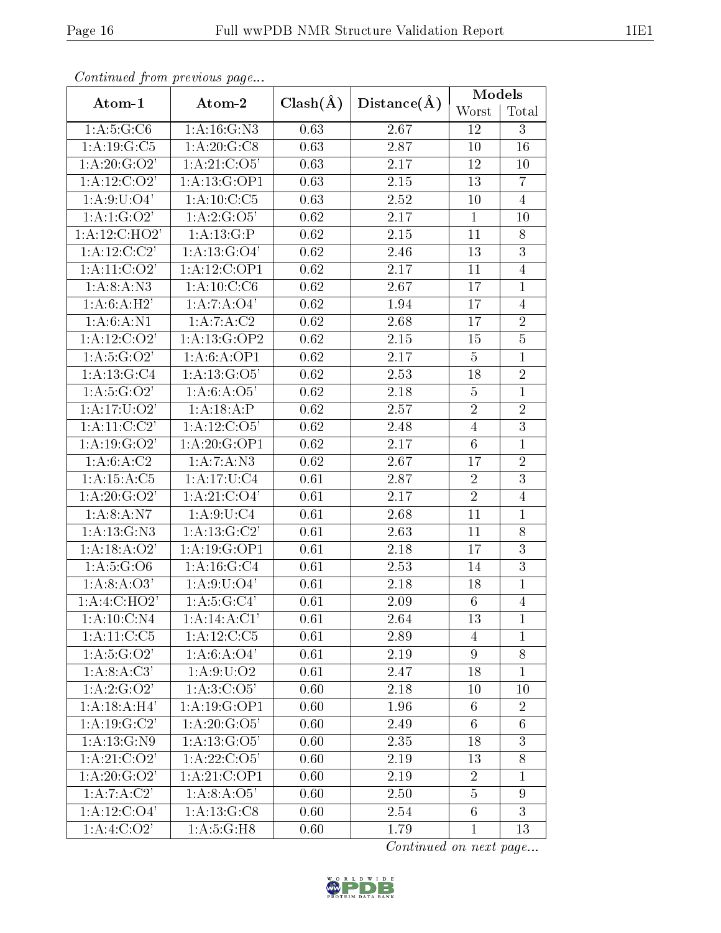| Continual from previous page                  |                            |              |             | Models          |                |
|-----------------------------------------------|----------------------------|--------------|-------------|-----------------|----------------|
| Atom-1                                        | Atom-2                     | $Clash(\AA)$ | Distance(A) | Worst           | Total          |
| 1: A:5: G: C6<br>1: A: 16: G: N3              |                            | 0.63         | 2.67        | 12              | 3              |
| 1:A:19:G:C5                                   | 1: A:20: G:CS              | 0.63         | 2.87        | 10              | 16             |
| 1: A:20: G:O2'                                | 1: A:21: C:O5'             | 0.63         | 2.17        | 12              | 10             |
| 1: A:12:C O 2'                                | 1:A:13:G:OP1               | 0.63         | 2.15        | 13              | $\overline{7}$ |
| 1: A:9: U: O4'                                | 1: A: 10: C: C5            | 0.63         | 2.52        | 10              | $\overline{4}$ |
| 1:A:1:G:O2'                                   | 1:A:2:G:O5'                | 0.62         | 2.17        | $\mathbf{1}$    | 10             |
| 1:A:12:C:HO2'                                 | 1:A:13:G:P                 | 0.62         | 2.15        | 11              | 8              |
| 1: A: 12: C: C2'<br>1: A: 13: G: O4'          |                            | 0.62         | 2.46        | 13              | 3              |
| 1: A:11: C:O2'                                | 1:A:12:C:OP1               | 0.62         | 2.17        | 11              | $\overline{4}$ |
| 1: A:8:A: N3                                  | 1: A: 10: C: C6            | 0.62         | 2.67        | 17              | $\mathbf 1$    |
| 1: A:6:A:H2'                                  | 1:A:7:A:O4'                | 0.62         | 1.94        | 17              | $\overline{4}$ |
| 1: A:6: A: N1                                 | 1:A:7:A:C2                 | 0.62         | 2.68        | 17              | $\overline{2}$ |
| 1: A:12: C:O2'                                | 1:A:13:G:OP2               | 0.62         | 2.15        | 15              | $\overline{5}$ |
| 1: A: 5: G: O2'                               | 1: A:6:A:OP1               | 0.62         | 2.17        | $\overline{5}$  | $\overline{1}$ |
| 1:A:13:G:C4<br>1: A: 13: G: O5'               |                            | 0.62         | 2.53        | 18              | $\overline{2}$ |
| 1: A: 5: G: O2'<br>1:A:6:A:O5'                |                            | 0.62         | 2.18        | $\overline{5}$  | $\mathbf{1}$   |
| 1:A:18:A:P<br>1: A: 17: U: O2'                |                            | 0.62         | 2.57        | $\overline{2}$  | $\overline{2}$ |
| $1:A:11.\overline{C:C2'}$<br>1: A: 12: C: O5' |                            | 0.62         | 2.48        | $\overline{4}$  | $\overline{3}$ |
| 1: A:19: G:O2'<br>1:A:20:G:OP1                |                            | 0.62         | 2.17        | $6\phantom{.}6$ | $\mathbf{1}$   |
| 1: A:6: A:C2<br>1: A: 7: A: N3                |                            | 0.62         | 2.67        | 17              | $\overline{2}$ |
| 1: A: 15: A: C5<br>1:A:17:U:C4                |                            | 0.61         | 2.87        | $\overline{2}$  | $\overline{3}$ |
| 1: A:20: G:O2'                                | 1: A:21: C:O4'             | 0.61         | 2.17        | $\overline{2}$  | $\overline{4}$ |
| 1: A:8:A: N7                                  | 1: A:9:U:C4                | 0.61         | 2.68        | 11              | $\mathbf 1$    |
| 1: A: 13: G: N3                               | 1: A: 13: G: C2'           | 0.61         | 2.63        | 11              | 8              |
| $1:A:18:A:\overline{O2'}$                     | 1:A:19:G:OP1               | 0.61         | 2.18        | 17              | 3              |
| 1: A:5: G: O6                                 | 1: A: 16: G: C4            | 0.61         | 2.53        | 14              | $\overline{3}$ |
| 1:A:8:A:O3'                                   | 1: A:9: U: O4'             | 0.61         | 2.18        | 18              | $\mathbf{1}$   |
| 1:A:4:C:HO2'                                  | 1: A:5: G:C4'              | 0.61         | 2.09        | $\overline{6}$  | $\overline{4}$ |
| 1: A: 10: C: N4                               | 1: A:14: A:CI'             | 0.61         | 2.64        | 13              | $\mathbf 1$    |
| 1: A:11:C:C5                                  | $1:A:12:C: \overline{C:5}$ | 0.61         | 2.89        | 4               | $\mathbf{1}$   |
| 1: A: 5: G: O2'                               | 1: A:6: A:O4'              | 0.61         | 2.19        | 9               | 8              |
| 1:A:8:A:C3'                                   | 1: A:9:U:O2                | 0.61         | 2.47        | 18              | $\mathbf{1}$   |
| 1: A: 2: G: O2'                               | 1: A:3: C:O5'              | 0.60         | 2.18        | 10              | 10             |
| 1: A:18:A:H4'                                 | 1:A:19:G:OP1               | 0.60         | 1.96        | 6               | $\overline{2}$ |
| 1: A:19: G:C2'                                | 1: A: 20: G: O5'           | 0.60         | 2.49        | 6               | $\overline{6}$ |
| 1: A: 13: G: N9                               | 1: A: 13: G: O5'           | 0.60         | 2.35        | 18              | 3              |
| 1: A:21: C:O2'                                | 1: A: 22: C: O5'           | 0.60         | 2.19        | 13              | 8              |
| 1: A:20: G:O2'                                | 1:A:21:C:OP1               | 0.60         | 2.19        | $\overline{2}$  | $\mathbf{1}$   |
| 1:A:7:A:C2'                                   | 1: A:8: A:O5'              | 0.60         | 2.50        | $\overline{5}$  | 9              |
| 1: A: 12: C: O4'                              | 1: A:13: G: C8             | 0.60         | 2.54        | 6               | 3              |
| 1: A:4: C:O2'                                 | 1: A:5: G:H8               | 0.60         | 1.79        | $\mathbf 1$     | 13             |

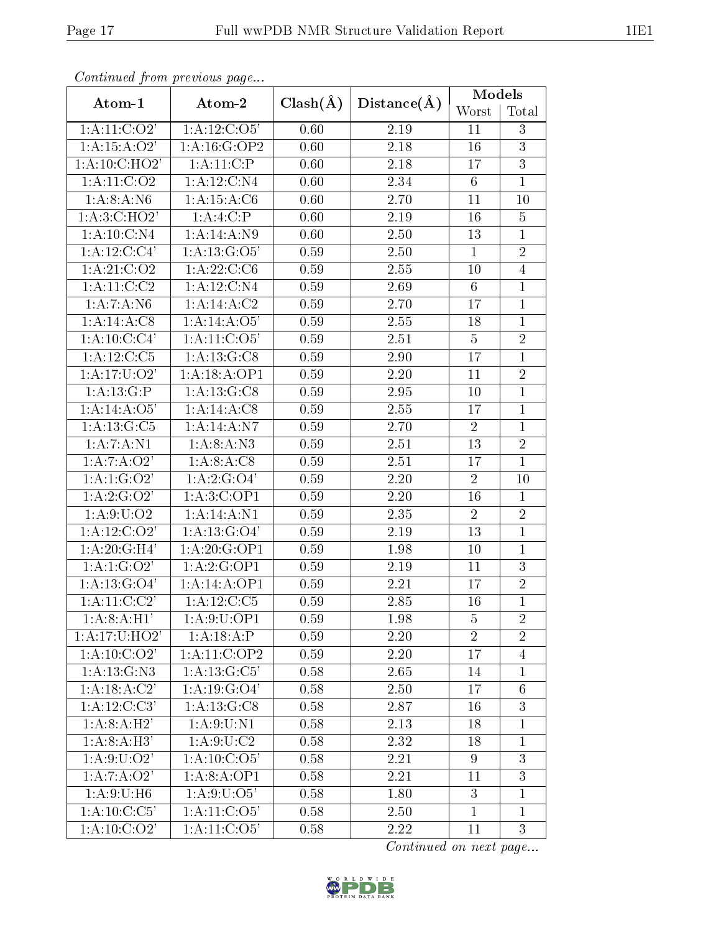| Continual from previous page   |                  |              |                   | Models          |                |
|--------------------------------|------------------|--------------|-------------------|-----------------|----------------|
| Atom-1                         | Atom-2           | $Clash(\AA)$ | Distance(A)       | Worst           | Total          |
| 1: A:11: C:O2'                 | 1: A: 12: C: O5' | 0.60         | 2.19              | 11              | 3              |
| 1:A:15:A:O2'                   | 1:A:16:G:OP2     | 0.60         | 2.18              | 16              | $\overline{3}$ |
| 1: A:10: C:HO2'                | 1: A: 11:C:P     | 0.60         | 2.18              | 17              | $\overline{3}$ |
| 1: A: 11: C: O2                | 1:A:12:C:N4      | 0.60         | 2.34              | $6\phantom{.}6$ | $\mathbf{1}$   |
| 1:A:8:A:N6                     | 1: A: 15: A: C6  | 0.60         | 2.70              | 11              | 10             |
| 1:A:3:C:HO2'                   | 1:A:4:C:P        | 0.60         | 2.19              | 16              | 5              |
| 1:A:10:C:N4                    | 1:A:14:A:N9      | 0.60         | 2.50              | 13              | $\mathbf{1}$   |
| 1: A:12:C:C4'                  | 1: A: 13: G: O5' | 0.59         | 2.50              | $\mathbf{1}$    | $\overline{2}$ |
| 1: A:21: C:O2                  | 1: A: 22: C: C6  | 0.59         | 2.55              | 10              | $\overline{4}$ |
| 1: A:11:C:C2                   | 1:A:12:C:N4      | 0.59         | 2.69              | 6               | $\mathbf{1}$   |
| 1: A: 7: A: N6                 | 1:A:14:A:C2      | 0.59         | 2.70              | 17              | $\mathbf{1}$   |
| 1: A:14:A:CS                   | 1:A:14:A:O5'     | 0.59         | 2.55              | 18              | $\mathbf{1}$   |
| 1:A:10:C:C4'                   | 1: A: 11: C: O5' | 0.59         | 2.51              | $\overline{5}$  | $\overline{2}$ |
| 1: A:12:C:C5                   | 1: A: 13: G: C8  | 0.59         | 2.90              | 17              | $\mathbf{1}$   |
| 1: A: 17: U: O2'               | 1: A: 18: A: OP1 | 0.59         | 2.20              | 11              | $\overline{2}$ |
| 1:A:13:G:P                     | 1: A: 13: G: C8  | 0.59         | 2.95              | 10              | $\mathbf{1}$   |
| 1:A:14:A:O5'                   | 1:A:14:A:C8      | 0.59         | 2.55              | 17              | $\mathbf{1}$   |
| 1: A: 13: G: C5                | 1:A:14:A:N7      | 0.59         | 2.70              | $\overline{2}$  | $\mathbf{1}$   |
| 1: A: 7: A: N1<br>1: A:8:A: N3 |                  | 0.59         | 2.51              | 13              | $\overline{2}$ |
| 1:A:7:A:O2'<br>1: A:8:A:C8     |                  | 0.59         | 2.51              | 17              | $\mathbf{1}$   |
| 1:A:1:G:O2'<br>1:A:2:G:O4'     |                  | 0.59         | 2.20              | $\overline{2}$  | 10             |
| 1:A:2:G:O2                     | 1:A:3:C:OP1      | 0.59         | 2.20              | 16              | $\mathbf{1}$   |
| 1: A:9:U:O2                    | 1:A:14:A:N1      | 0.59         | 2.35              | $\overline{2}$  | $\overline{2}$ |
| 1: A:12: C:O2'                 | 1: A: 13: G: O4' | 0.59         | 2.19              | 13              | $\mathbf{1}$   |
| 1:A:20:G:H4'                   | 1:A:20:G:OP1     | 0.59         | 1.98              | 10              | $\mathbf{1}$   |
| 1:A:1:G:O2'                    | 1:A:2:G:OP1      | 0.59         | 2.19              | 11              | $\overline{3}$ |
| 1: A: 13: G: O4'               | 1:A:14:A:OP1     | 0.59         | 2.21              | 17              | $\overline{2}$ |
| 1: A: 11: C: C2'               | 1: A:12:C:C5     | 0.59         | $\overline{2.85}$ | 16              | $\overline{1}$ |
| 1: A:8:A:H1'                   | 1: A:9:U:OP1     | 0.59         | 1.98              | 5               | $\overline{2}$ |
| 1:A:17:U:HO2'                  | 1:A:18:A:P       | 0.59         | 2.20              | $\overline{2}$  | $\overline{2}$ |
| $1:A:10:\overline{C:O2'}$      | 1:A:11:C:OP2     | 0.59         | 2.20              | 17              | $\overline{4}$ |
| 1: A: 13: G: N3                | 1:A:13:G:C5'     | $0.58\,$     | 2.65              | 14              | $\mathbf{1}$   |
| 1:A:18:A:C2'                   | 1: A: 19: G: O4' | 0.58         | 2.50              | 17              | 6              |
| $1:A:12.\overline{C:C3'}$      | 1: A: 13: G: C8  | 0.58         | 2.87              | 16              | $\overline{3}$ |
| 1: A:8:A:H2'                   | 1: A:9:U:N1      | 0.58         | 2.13              | 18              | $\mathbf{1}$   |
| 1: A:8:A:H3'                   | 1: A:9:U:C2      | 0.58         | 2.32              | 18              | $\mathbf{1}$   |
| 1: A:9: U:O2'                  | 1: A: 10: C: O5' | 0.58         | 2.21              | 9               | $\overline{3}$ |
| 1:A:7:A:O2'                    | 1: A:8:A:OP1     | 0.58         | 2.21              | 11              | 3              |
| 1: A:9:U:H6                    | 1: A:9: U:O5'    | 0.58         | 1.80              | 3               | $\mathbf{1}$   |
| 1:A:10:C:C5'                   | 1:A:11:C:O5'     | 0.58         | 2.50              | $\mathbf{1}$    | $\mathbf{1}$   |
| 1: A:10: C:O2'                 | 1: A: 11: C: O5' | 0.58         | 2.22              | 11              | 3              |

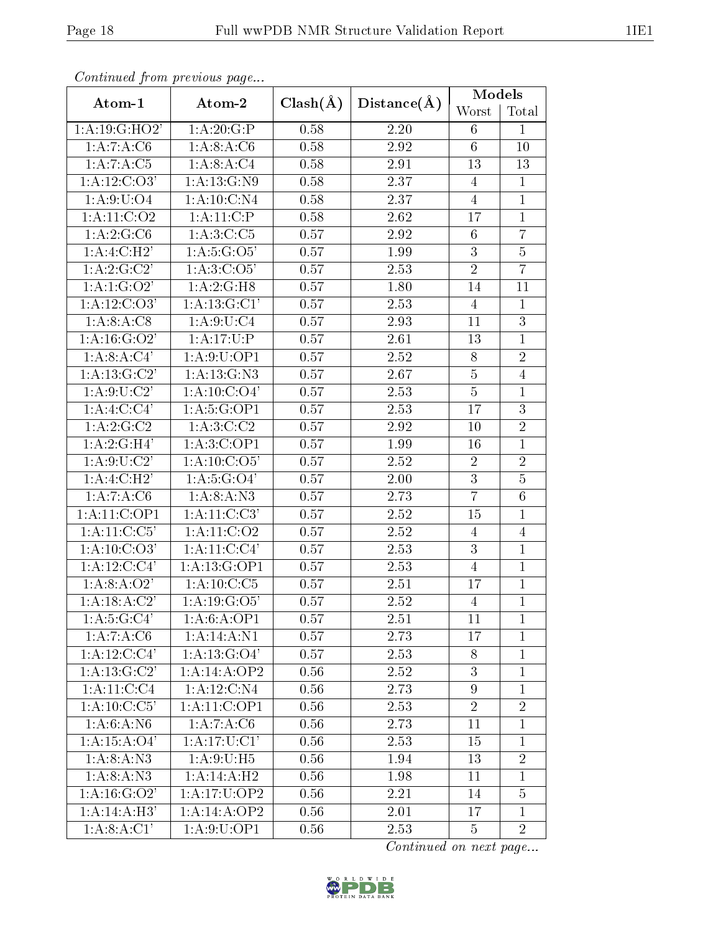| Continual from previous page |                          |              |             | Models          |                |
|------------------------------|--------------------------|--------------|-------------|-----------------|----------------|
| Atom-1                       | Atom-2                   | $Clash(\AA)$ | Distance(A) | Worst           | Total          |
| 1:A:19:GE:HO2'               | 1:A:20:G:P               | 0.58         | 2.20        | 6               | $\mathbf{1}$   |
| 1:A:7:A:C6                   | 1: A:8:A:C6              | 0.58         | 2.92        | $6\phantom{.}6$ | 10             |
| 1:A:7:A:C5                   | 1: A:8:A:C4              | 0.58         | 2.91        | 13              | $13\,$         |
| 1: A:12: C:O3'               | 1: A: 13: G: N9          | 0.58         | 2.37        | $\overline{4}$  | $\mathbf{1}$   |
| 1: A:9: U:O4                 | $1:A:10:C:\overline{N4}$ | 0.58         | 2.37        | 4               | $\mathbf{1}$   |
| 1: A:11:C:O2                 | 1: A:11:C.P              | 0.58         | 2.62        | 17              | $\mathbf{1}$   |
| 1:A:2:G:C6                   | 1: A:3:C:C5              | 0.57         | 2.92        | $6\phantom{.}6$ | $\overline{7}$ |
| 1:A:4:C:H2'                  | 1: A:5: G:O5'            | 0.57         | 1.99        | $\overline{3}$  | $\overline{5}$ |
| 1:A:2:G:C2'                  | 1: A:3:C:O5'             | 0.57         | 2.53        | $\overline{2}$  | $\overline{7}$ |
| 1:A:1:G:O2'                  | 1: A:2: G:H8             | 0.57         | 1.80        | 14              | 11             |
| $1:\overline{A:12:C:O3'}$    | 1:A:13:G:CI'             | 0.57         | 2.53        | $\overline{4}$  | $\mathbf{1}$   |
| 1: A:8: A: C8                | 1: A:9:U:C4              | 0.57         | 2.93        | 11              | $\overline{3}$ |
| 1: A: 16: G: O2'             | 1:A:17:U:P               | 0.57         | 2.61        | 13              | $\overline{1}$ |
| 1:A:8:A:C4'                  | 1:A:9:U:OP1              | 0.57         | 2.52        | $8\,$           | $\overline{2}$ |
| 1: A: 13: G: C2'             | 1: A: 13: G: N3          | 0.57         | 2.67        | $\overline{5}$  | $\overline{4}$ |
| 1: A:9:U:C2'                 | 1: A: 10: C: O4'         | 0.57         | 2.53        | $\overline{5}$  | $\mathbf{1}$   |
| 1:A:4:C:CA                   | 1:A:5:G:OP1              | 0.57         | 2.53        | 17              | $\overline{3}$ |
| $1:A:2:\overline{G:C2}$      | 1: A:3:C:C2              | 0.57         | 2.92        | 10              | $\overline{2}$ |
| 1:A:2:G:H4'<br>1:A:3:C:OP1   |                          | 0.57         | 1.99        | 16              | $\mathbf{1}$   |
| 1: A:9:U:C2'                 | 1: A: 10: C: O5'         | 0.57         | 2.52        | $\overline{2}$  | $\overline{2}$ |
| 1:A:4:C:H2'                  | 1: A: 5: G: O4'          | 0.57         | 2.00        | $\overline{3}$  | $\overline{5}$ |
| 1:A:7:A:C6                   | 1: A:8:A: N3             | 0.57         | 2.73        | $\overline{7}$  | $\overline{6}$ |
| 1:A:11:C:OP1                 | 1:A:11:C:C3'             | 0.57         | 2.52        | 15              | $\mathbf{1}$   |
| 1: A: 11: C: C5'             | 1: A: 11: C: O2          | 0.57         | 2.52        | $\overline{4}$  | $\overline{4}$ |
| 1: A:10: C:O3'               | 1:A:11:C:C4'             | 0.57         | 2.53        | 3               | $\mathbf{1}$   |
| $1:\overline{A:12:C:C4'}$    | 1:A:13:G:OP1             | 0.57         | 2.53        | $\overline{4}$  | $\mathbf{1}$   |
| 1:A:8:A:O2'                  | 1: A: 10: C: C5          | 0.57         | 2.51        | 17              | $\mathbf{1}$   |
| $1:\overline{A:18:A:C2'}$    | 1: A: 19: G: O5'         | 0.57         | 2.52        | $\overline{4}$  | $\overline{1}$ |
| 1: A: 5: G: C4'              | 1: A:6:A:OP1             | 0.57         | 2.51        | 11              | $\mathbf{1}$   |
| 1:A:7:A:C6                   | 1:A:14:A:N1              | 0.57         | 2.73        | 17              | $\mathbf{1}$   |
| 1: A: 12: C: C4'             | 1: A: 13: G: O4'         | 0.57         | 2.53        | 8               | $\mathbf{1}$   |
| 1: A: 13: G:C2'              | 1:A:14:A:OP2             | 0.56         | 2.52        | $\overline{3}$  | $\mathbf{1}$   |
| 1:A:11:C:C4                  | 1:A:12:C:N4              | 0.56         | 2.73        | $\overline{9}$  | $\mathbf{1}$   |
| 1: A:10: C: C5'              | 1:A:11:C:OP1             | 0.56         | 2.53        | $\overline{2}$  | $\overline{2}$ |
| 1:A:6:A:N6                   | 1:A:7:A:C6               | 0.56         | 2.73        | 11              | $\mathbf{1}$   |
| 1: A: 15: A: O4'             | 1: A:17: U:C1'           | 0.56         | 2.53        | 15              | $\mathbf{1}$   |
| 1: A:8:A: N3                 | 1: A:9:U:H5              | 0.56         | 1.94        | 13              | $\overline{2}$ |
| 1: A:8: A: N3                | 1:A:14:A:H2              | 0.56         | 1.98        | 11              | $\mathbf{1}$   |
| 1: A: 16: G: O2'             | 1: A:17: U: OP2          | 0.56         | 2.21        | 14              | $\overline{5}$ |
| 1:A:14:A:H3'                 | 1:A:14:A:OP2             | 0.56         | 2.01        | 17              | $\mathbf{1}$   |
| 1:A:8:A:CI'                  | 1:A:9:U:OP1              | 0.56         | 2.53        | 5               | $\overline{2}$ |

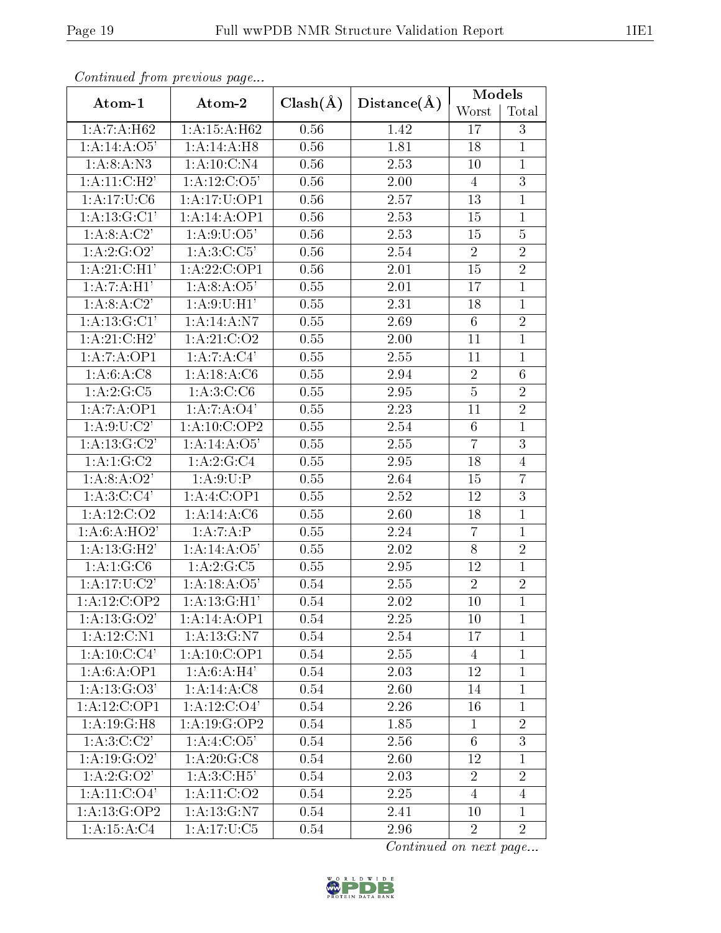|                                 | Continuea from previous page |                   |                   | Models          |                |  |
|---------------------------------|------------------------------|-------------------|-------------------|-----------------|----------------|--|
| Atom-1                          | Atom-2                       | $Clash(\AA)$      | Distance(A)       | Worst           | Total          |  |
| 1:A:7:A:H62<br>1:A:15:A:H62     |                              | 0.56              | 1.42              | 17              | 3              |  |
| 1:A:14:A:O5'                    | 1:A:14:A:H8                  | 0.56              | 1.81              | 18              | $\mathbf{1}$   |  |
| 1: A:8:A: N3                    | 1: A: 10: C: N4              | 0.56              | 2.53              | 10              | $\mathbf{1}$   |  |
| 1:A:11:C:H2'                    | 1: A: 12: C: O5'             | 0.56              | 2.00              | $\overline{4}$  | $\overline{3}$ |  |
| 1: A: 17: U: C6                 | 1:A:17:U:OP1                 | 0.56              | 2.57              | 13              | $\mathbf{1}$   |  |
| 1: A: 13: G: C1'                | 1:A:14:A:OP1                 | 0.56              | 2.53              | 15              | $\overline{1}$ |  |
| 1:A:8:A:C2'                     | 1: A:9:U:O5'                 | 0.56              | 2.53              | 15              | $\overline{5}$ |  |
| 1:A:2:G:O2'                     | 1:A:3:C:C5'                  | 0.56              | 2.54              | $\overline{2}$  | $\overline{2}$ |  |
| 1:A:21:C:H1'                    | 1:A:22:C:OP1                 | 0.56              | 2.01              | 15              | $\overline{2}$ |  |
| 1: A: 7: A: H1'                 | 1: A:8:A:O5'                 | 0.55              | 2.01              | 17              | $\mathbf{1}$   |  |
| 1: A:8:A:C2'                    | 1: A:9:U:H1                  | 0.55              | $\overline{2.31}$ | 18              | $\overline{1}$ |  |
| 1: A: 13: G: C1'                | 1: A: 14: A: N7              | 0.55              | 2.69              | $6\phantom{.}6$ | $\overline{2}$ |  |
| 1:A:21:C:H2'                    | 1: A:21: C:O2                | 0.55              | 2.00              | 11              | $\mathbf{1}$   |  |
| 1:A:7:A:OP1                     | 1:A:7:A:C4'                  | 0.55              | 2.55              | 11              | $\mathbf{1}$   |  |
| 1:A:6:A:C8                      | 1:A:18:A:C6                  | $\overline{0.55}$ | 2.94              | $\overline{2}$  | 6              |  |
| 1:A:2:G:C5<br>1: A:3:C:C6       |                              | 0.55              | 2.95              | $\overline{5}$  | $\overline{2}$ |  |
| 1:A:7:A:OP1<br>1:A:7:A:O4'      |                              | 0.55              | 2.23              | 11              | $\overline{2}$ |  |
| 1: A:9:U:C2'<br>1:A:10:C:OP2    |                              | 0.55              | 2.54              | 6               | $\mathbf{1}$   |  |
| 1:A:13:G:C2'<br>1:A:14:A:O5'    |                              | 0.55              | 2.55              | $\overline{7}$  | $\overline{3}$ |  |
| 1: A:1: G: C2<br>1:A:2:G:C4     |                              | 0.55              | 2.95              | 18              | $\overline{4}$ |  |
| 1:A:8:A:O2'                     | 1: A:9:U:P                   | 0.55              | 2.64              | 15              | $\overline{7}$ |  |
| 1: A:3:C:C4'                    | 1:A:4:C:OP1                  | 0.55              | 2.52              | 12              | $\overline{3}$ |  |
| 1: A: 12: C: O2                 | 1:A:14:A:C6                  | 0.55              | 2.60              | 18              | $\mathbf{1}$   |  |
| 1:A:6:A:HO2'                    | 1:A:7:A:P                    | 0.55              | 2.24              | $\overline{7}$  | $\mathbf{1}$   |  |
| 1:A:13:G:H2'                    | 1: A:14: A:O5'               | 0.55              | 2.02              | 8               | $\overline{2}$ |  |
| 1:A:1:G:C6<br>1:A:2:G:C5        |                              | 0.55              | 2.95              | 12              | $\overline{1}$ |  |
| 1:A:17:U:C2'                    | 1:A:18:A:O5'                 | 0.54              | 2.55              | $\overline{2}$  | $\overline{2}$ |  |
| 1: A:12:C:OP2<br>1: A:13: G:H1' |                              | 0.54              | 2.02              | 10              | $\overline{1}$ |  |
| 1: A: 13: G: O2'                | 1:A:14:A:OP1                 | 0.54              | 2.25              | 10              | $\mathbf{1}$   |  |
| 1: A: 12: C: N1                 | 1:A:13:G:N7                  | 0.54              | 2.54              | 17              | $\mathbf{1}$   |  |
| 1:A:10:C:C4'                    | 1:A:10:C:OP1                 | 0.54              | 2.55              | $\overline{4}$  | $\mathbf{1}$   |  |
| 1:A:6:A:OP1                     | 1:A:6:A:H4'                  | 0.54              | 2.03              | 12              | $\mathbf{1}$   |  |
| $1:A:13:\overline{G:O3'}$       | 1:A:14:A:C8                  | 0.54              | 2.60              | 14              | $\mathbf 1$    |  |
| 1:A:12:C:OP1                    | 1: A: 12: C: O4'             | 0.54              | 2.26              | 16              | $\mathbf{1}$   |  |
| 1: A: 19: G: H8                 | 1:A:19:G:OP2                 | 0.54              | 1.85              | $\mathbf{1}$    | $\overline{2}$ |  |
| 1: A:3:C:C2'                    | 1:A:4:C:O5'                  | 0.54              | 2.56              | $\overline{6}$  | 3              |  |
| 1: A:19: G:O2'                  | 1: A:20: G: C8               | 0.54              | 2.60              | 12              | 1              |  |
| $1:\overline{A:2:G:O2'}$        | 1:A:3:C:H5'                  | 0.54              | 2.03              | $\overline{2}$  | $\overline{2}$ |  |
| 1: A:11: C:O4'                  | 1: A: 11: C: O2              | 0.54              | 2.25              | $\overline{4}$  | $\overline{4}$ |  |
| 1: A: 13: G: OP2                | 1: A: 13: G: N7              | 0.54              | 2.41              | 10              | $\mathbf{1}$   |  |
| 1: A: 15: A: C4                 | 1:A:17:U:C5                  | 0.54              | 2.96              | $\overline{2}$  | $\overline{2}$ |  |

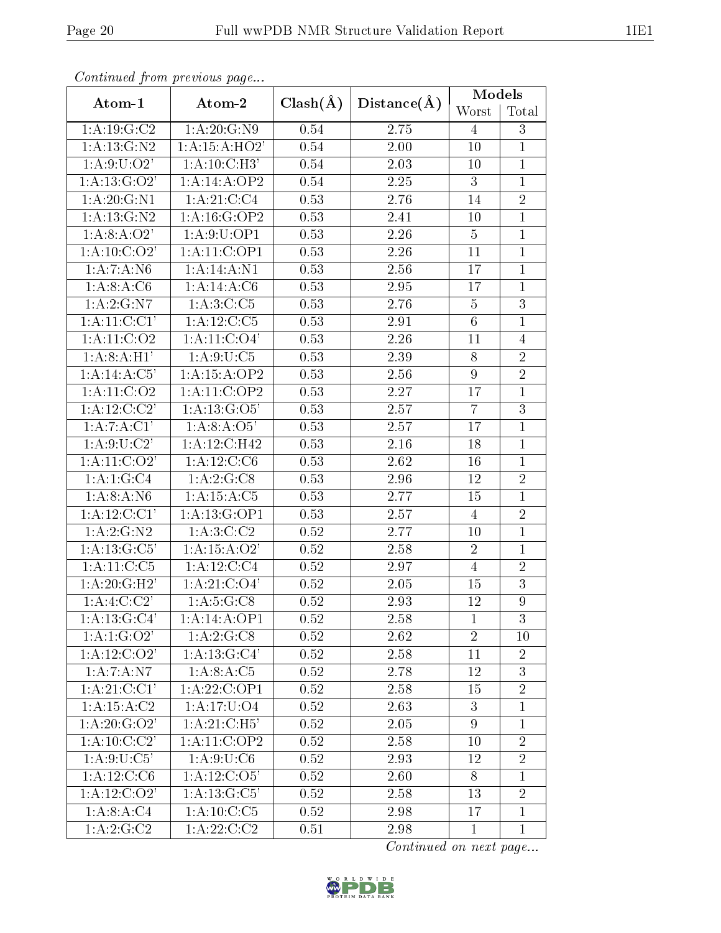| Continual from precious page                  |                             |                   |             | Models         |                |
|-----------------------------------------------|-----------------------------|-------------------|-------------|----------------|----------------|
| Atom-1                                        | Atom-2                      | $Clash(\AA)$      | Distance(A) | Worst          | Total          |
| 1: A: 19: G: C2                               | 1: A:20: G: N9              | 0.54              | 2.75        | $\overline{4}$ | 3              |
| 1: A: 13: G: N2                               | 1: A:15: A:HO2'             | 0.54              | 2.00        | 10             | $\mathbf{1}$   |
| 1: A:9: U:O2'                                 | 1:A:10:C:H3'                | 0.54              | 2.03        | 10             | $\mathbf{1}$   |
| 1: A: 13: G: O2'                              | 1:A:14:A:OP2                | 0.54              | 2.25        | 3              | $\mathbf{1}$   |
| 1: A: 20: G: N1                               | 1: A:21: C: C4              | 0.53              | 2.76        | 14             | $\overline{2}$ |
| 1: A: 13: G: N2                               | 1:A:16:G:OP2                | 0.53              | 2.41        | 10             | $\mathbf{1}$   |
| 1:A:8:A:O2'                                   | 1:A:9:U:OP1                 | 0.53              | 2.26        | $\overline{5}$ | $\mathbf{1}$   |
| 1: A:10: C:O2'                                | 1:A:11:C:OP1                | 0.53              | 2.26        | 11             | $\mathbf{1}$   |
| 1:A:7:A:N6                                    | 1:A:14:A:N1                 | 0.53              | 2.56        | 17             | $\overline{1}$ |
| 1: A:8: A:C6                                  | 1:A:14:A:C6                 | 0.53              | 2.95        | 17             | $\mathbf{1}$   |
| 1:A:2:G:N7                                    | 1: A:3:C:C5                 | 0.53              | 2.76        | $\overline{5}$ | $\overline{3}$ |
| $1:A:11:C:\overline{C1'}$                     | $1:A:12:C:\overline{C5}$    | 0.53              | 2.91        | $\sqrt{6}$     | $\mathbf{1}$   |
| 1: A: 11: C: O2                               | 1: A: 11: C: O4'            | 0.53              | 2.26        | 11             | $\overline{4}$ |
| 1: A:8:A:H1'                                  | 1: A:9:U:C5                 | 0.53              | 2.39        | 8              | $\overline{2}$ |
| 1:A:14:A:C5'<br>1:A:15:A:OP2                  |                             | 0.53              | 2.56        | 9              | $\overline{2}$ |
| 1: A: 11: C: O2<br>1:A:11:C:OP2               |                             | 0.53              | 2.27        | 17             | $\mathbf{1}$   |
| $1:A:12:C:\overline{C2'}$<br>1: A: 13: G: O5' |                             | 0.53              | 2.57        | $\overline{7}$ | $\overline{3}$ |
| 1:A:7:A:C1'<br>1:A:8:A:O5'                    |                             | 0.53              | 2.57        | 17             | $\mathbf{1}$   |
| 1: A:9:U:C2'                                  | 1:A:12:C:H42                |                   | 2.16        | 18             | $\mathbf{1}$   |
| 1: A:11: C:O2'<br>1: A: 12: C: C6             |                             | 0.53              | 2.62        | 16             | $\mathbf{1}$   |
| 1:A:1:G:C4<br>1:A:2:G:CS                      |                             | 0.53              | 2.96        | 12             | $\overline{2}$ |
| 1: A:8:A: N6                                  | 1: A: 15: A: C5             | 0.53              | 2.77        | 15             | $\mathbf{1}$   |
| 1: A:12: C:CI'                                | 1: A:13: G:OP1              | 0.53              | 2.57        | 4              | $\overline{2}$ |
| 1:A:2:G:N2<br>1:A:3:C:C <sub>2</sub>          |                             | 0.52              | 2.77        | 10             | $\mathbf{1}$   |
| 1: A: 13: G: C5'                              | $1:\overline{A:15:A:O2'}$   | 0.52              | 2.58        | $\overline{2}$ | $\mathbf{1}$   |
| 1: A:11:C:C5<br>1:A:12:C:C4                   |                             | 0.52              | 2.97        | $\overline{4}$ | $\overline{2}$ |
| 1:A:20:G:H2'                                  | 1: A:21: C:O4'              | 0.52              | 2.05        | 15             | 3              |
| $1:\overline{A:4:C:C2'}$                      | 1: A:5:G:CS                 | $\overline{0.52}$ | 2.93        | 12             | 9              |
| 1: A: 13: G: C4'                              | 1:A:14:A:OP1                | 0.52              | 2.58        | $\mathbf{1}$   | 3              |
| 1: A:1: G:O2'                                 | 1: A:2: G: C8               | $0.52\,$          | 2.62        | $\overline{2}$ | 10             |
| $1:A:12:\overline{C:O2'}$                     | 1:A:13:G:Cl <sup>7</sup>    | 0.52              | 2.58        | 11             | $\overline{2}$ |
| 1:A:7:A:N7                                    | 1: A:8:A:C5                 | 0.52              | 2.78        | 12             | 3              |
| 1: A:21: C:CI'                                | 1:A:22:C:OP1                | 0.52              | 2.58        | 15             | $\overline{2}$ |
| 1: A: 15: A: C2                               | 1:A:17:U:O4                 | 0.52              | 2.63        | 3              | $\mathbf{1}$   |
| 1: A:20: G:O2'                                | 1: A:21: C:H5'              | 0.52              | 2.05        | $\overline{9}$ | $\mathbf{1}$   |
| 1: A: 10: C: C2'                              | 1:A:11:C:OP2                | 0.52              | 2.58        | 10             | $\overline{2}$ |
| 1: A:9:U:C5'                                  | 1: A:9:U:C6                 | 0.52              | 2.93        | 12             | $\overline{2}$ |
| 1:A:12:C:C6                                   | 1: A: 12: C: O5'            | 0.52              | 2.60        | 8              | $\mathbf{1}$   |
| 1: A: 12: C: O2'                              | 1: A:13: G: C5'             | 0.52              | 2.58        | 13             | $\overline{2}$ |
| 1: A:8: A:C4                                  | $1: A:10: \overline{C: C5}$ | 0.52              | 2.98        | 17             | $\mathbf{1}$   |
| 1:A:2:G:C2                                    | 1:A:22:C:C2                 | 0.51              | 2.98        | $\mathbf{1}$   | $\mathbf{1}$   |

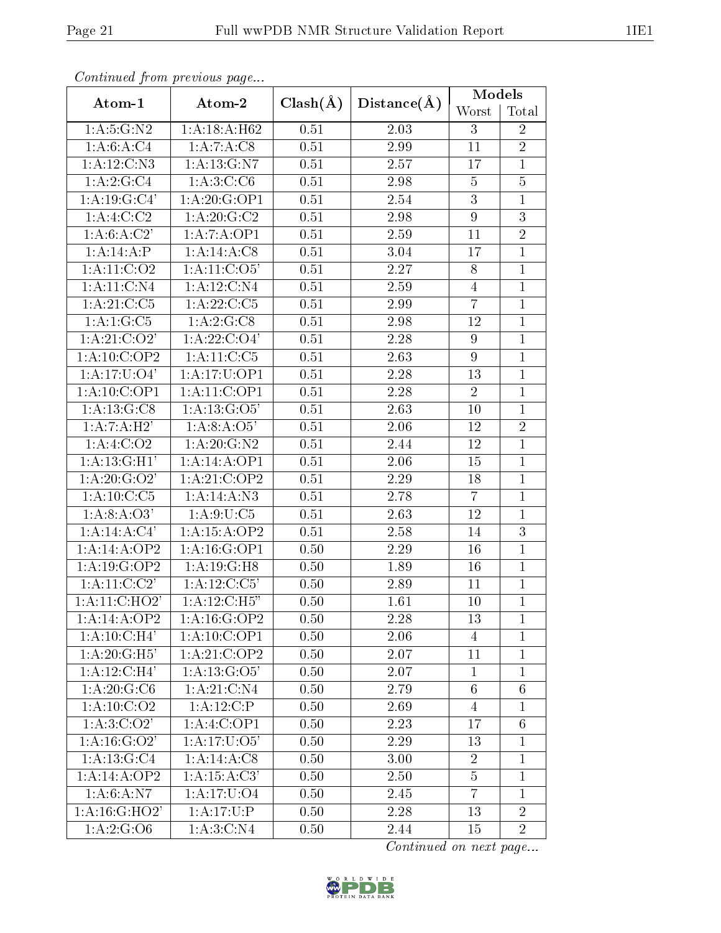| Continuou jiom protivus pago    |                          |              |                   | Models           |                 |
|---------------------------------|--------------------------|--------------|-------------------|------------------|-----------------|
| Atom-1                          | Atom-2                   | $Clash(\AA)$ | $Distance(\AA)$   | Worst            | Total           |
| 1: A: 5: G: N2                  | 1:A:18:A:H62             |              | 2.03              | 3                | $\overline{2}$  |
| 1:A:6:A:C4                      | 1:A:7:A:C8               | 0.51         | 2.99              | 11               | $\overline{2}$  |
| 1:A:12:C:N3                     | 1: A: 13: G: N7          | 0.51         | 2.57              | 17               | $\mathbf{1}$    |
| 1:A:2:G:C4                      | 1: A:3:C:CG              | 0.51         | 2.98              | $\overline{5}$   | $\overline{5}$  |
| 1: A: 19: G: C4'                | 1:A:20:G:OP1             | 0.51         | 2.54              | $\mathfrak{Z}$   | $\mathbf{1}$    |
| 1:A:4:C:C2                      | 1: A:20: G:C2            | 0.51         | 2.98              | 9                | $\overline{3}$  |
| 1:A:6:A:C2'                     | 1:A:7:A:OP1              | 0.51         | 2.59              | 11               | $\overline{2}$  |
| 1:A:14:A:P                      | $1:A:14:A:\overline{C8}$ | 0.51         | 3.04              | 17               | $\overline{1}$  |
| 1: A: 11: C: O2                 | 1: A:11: C:O5'           | 0.51         | 2.27              | 8                | $\overline{1}$  |
| 1: A: 11: C: N4                 | 1: A: 12: C: N4          | 0.51         | 2.59              | $\overline{4}$   | $\mathbf{1}$    |
| 1: A:21: C: C5                  | 1: A: 22: C: C5          | 0.51         | 2.99              | $\overline{7}$   | $\mathbf{1}$    |
| 1:A:1:G:C5                      | 1:A:2:G:CS               | 0.51         | 2.98              | 12               | $\mathbf{1}$    |
| 1: A:21: C:O2'                  | 1: A: 22: C: O4'         | 0.51         | 2.28              | $\boldsymbol{9}$ | $\overline{1}$  |
| 1:A:10:C:OP2                    | 1:A:11:C:C5              | 0.51         | 2.63              | 9                | $\mathbf{1}$    |
| $1:A:17:\overline{U:O4'}$       | 1:A:17:U:OP1             | 0.51         | 2.28              | 13               | $\mathbf{1}$    |
| 1: A:10: C:OP1                  | 1:A:11:C:OP1             | 0.51         | $\overline{2.28}$ | $\overline{2}$   | $\mathbf{1}$    |
| 1:A:13:G:C8<br>1: A: 13: G: O5' |                          | 0.51         | 2.63              | 10               | $\mathbf{1}$    |
| 1:A:7:A:H2'<br>1:A:8:A:O5'      |                          | 0.51         | 2.06              | 12               | $\overline{2}$  |
| 1: A:4: C:O2<br>1:A:20:G:N2     |                          | 0.51         | 2.44              | 12               | $\overline{1}$  |
| 1:A:13:G:H1'<br>1:A:14:A:OP1    |                          | 0.51         | 2.06              | 15               | $\mathbf{1}$    |
| 1: A:20: G:O2'<br>1:A:21:C:OP2  |                          | 0.51         | 2.29              | 18               | $\mathbf{1}$    |
| $1:A:10:C:\overline{C5}$        | 1:A:14:A:N3              | 0.51         | 2.78              | $\overline{7}$   | $\mathbf{1}$    |
| 1: A:8: A:O3'                   | 1: A:9:U:C5              | 0.51         | 2.63              | 12               | $\mathbf{1}$    |
| 1:A:14:A:C4'                    | 1:A:15:A:OP2             | 0.51         | 2.58              | 14               | 3               |
| 1:A:14:A:OP2                    | 1:A:16:G:OP1             | 0.50         | 2.29              | 16               | $\mathbf{1}$    |
| 1:A:19:G:OP2                    | 1:A:19:G:H8              | 0.50         | 1.89              | 16               | $\mathbf{1}$    |
| 1: A:11:C:C2'                   | 1:A:12:C:C5'             | 0.50         | 2.89              | 11               | $\mathbf{1}$    |
| 1:A:11:C:HO2'                   | 1: A:12:C:H5"            | 0.50         | $\overline{1.61}$ | 10               | $\overline{1}$  |
| 1:A:14:A:OP2                    | 1: A:16: G:OP2           | 0.50         | 2.28              | 13               | $\mathbf{1}$    |
| $1:A:10:C:\overline{H4'}$       | 1:A:10:C:OP1             | 0.50         | 2.06              | $\overline{4}$   | $\mathbf{1}$    |
| 1:A:20:G:H5'                    | 1:A:21:C:OP2             | 0.50         | 2.07              | 11               | $\mathbf{1}$    |
| 1: A:12:C:H4'                   | 1: A: 13: G: O5'         | 0.50         | 2.07              | $\mathbf{1}$     | $\mathbf{1}$    |
| 1: A:20: G: C6                  | 1: A:21: C: N4           | 0.50         | 2.79              | 6                | 6               |
| 1: A: 10: C: O2                 | 1:A:12:C:P               | 0.50         | 2.69              | $\overline{4}$   | $\mathbf{1}$    |
| 1: A:3:C O 2'                   | 1:A:4:C:OP1              | 0.50         | 2.23              | 17               | $6\phantom{.}6$ |
| $1: A:16: \overline{G:O2'}$     | 1: A:17:U:O5'            | 0.50         | 2.29              | 13               | $\mathbf{1}$    |
| $1:A:13:G:\overline{C4}$        | 1:A:14:A:C8              | 0.50         | 3.00              | $\overline{2}$   | $\mathbf{1}$    |
| 1:A:14:A:OP2                    | 1: A:15: A:C3'           | 0.50         | 2.50              | $\overline{5}$   | $\mathbf{1}$    |
| 1: A:6:A: N7                    | 1:A:17:U:O4              | 0.50         | 2.45              | $\overline{7}$   | $\mathbf{1}$    |
| 1: A: 16: G: HO2'               | 1: A: 17: U: P           | 0.50         | 2.28              | 13               | $\overline{2}$  |
| 1: A:2: G: O6                   | 1: A:3:C:N4              | 0.50         | 2.44              | 15               | $\overline{2}$  |

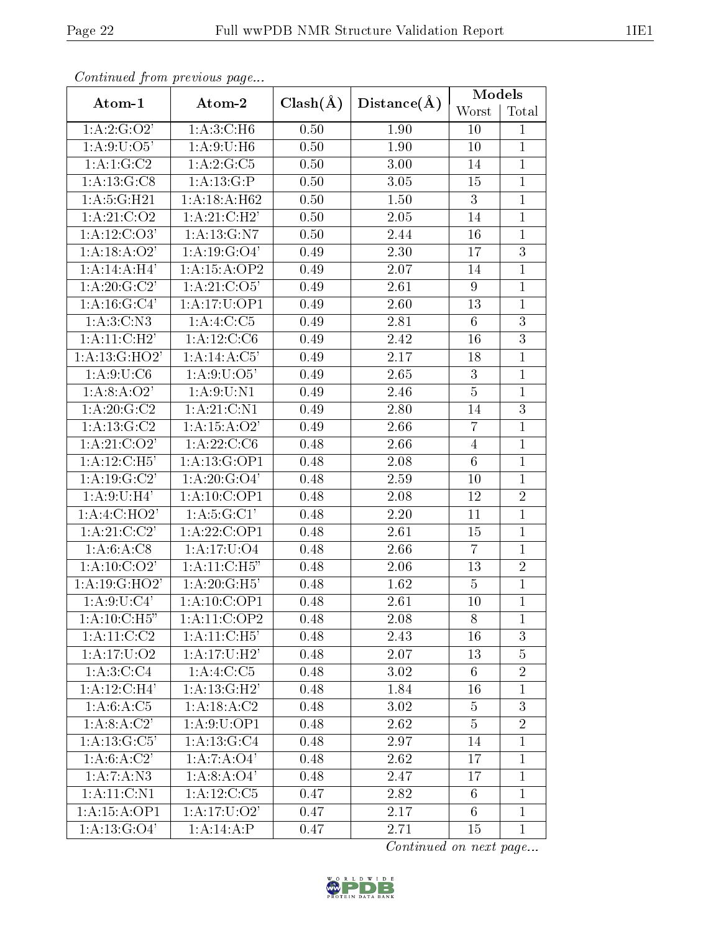| Continuata from previous page     |                           |              |                   | Models          |                |
|-----------------------------------|---------------------------|--------------|-------------------|-----------------|----------------|
| Atom-1                            | Atom-2                    | $Clash(\AA)$ | Distance(A)       | Worst           | Total          |
| 1: A:2: G:O2'                     | 1: A:3:C:H6               | 0.50         | 1.90              | 10              | $\mathbf{1}$   |
| 1: A:9: U:O5'                     | 1: A:9:U:H6               | 0.50         | 1.90              | 10              | 1              |
| 1: A:1: G: C2                     | 1:A:2:G:C5                | 0.50         | 3.00              | 14              | $\mathbf{1}$   |
| 1: A: 13: G: C8                   | 1:A:13:G:P                | 0.50         | 3.05              | 15              | $\mathbf{1}$   |
| 1: A: 5: G: H21                   | 1:A:18:A:H62              | 0.50         | 1.50              | 3               | $\mathbf{1}$   |
| 1: A:21: C:O2                     | 1:A:21:C:H2'              | 0.50         | 2.05              | 14              | $\mathbf{1}$   |
| 1: A:12:C:O3'                     | 1:A:13:G:N7               | 0.50         | 2.44              | 16              | $\mathbf{1}$   |
| 1:A:18:A:O2'                      | 1: A: 19: G: O4'          | 0.49         | 2.30              | 17              | 3              |
| 1:A:14:A:H4'                      | 1:A:15:A:OP2              | 0.49         | 2.07              | 14              | $\mathbf{1}$   |
| 1: A:20: G:C2'                    | 1: A:21: C:O5'            | 0.49         | 2.61              | 9               | $\mathbf{1}$   |
| 1: A:16: G:C4'                    | 1:A:17:U:OP1              | 0.49         | $\overline{2.60}$ | 13              | $\overline{1}$ |
| 1: A:3:C: N3                      | 1:A:4:C:C5                | 0.49         | 2.81              | $6\phantom{.}6$ | 3              |
| $1:A:11:\overline{C:H2'}$         | 1: A: 12: C: C6           | 0.49         | 2.42              | 16              | $\overline{3}$ |
| 1:A:13:G:HO2'                     | 1:A:14:A:C5'              | 0.49         | 2.17              | 18              | $\mathbf{1}$   |
| 1: A:9:U:C6                       | 1: A:9:U:O5'              | 0.49         | 2.65              | 3               | $\mathbf{1}$   |
| 1: A:8: A:O2'                     | 1: A:9: U:N1              | 0.49         | 2.46              | $\overline{5}$  | $\mathbf{1}$   |
| 1: A:20: G: C2                    | 1: A:21: C:N1             | 0.49         | 2.80              | 14              | 3              |
| 1: A: 13: G: C2                   | 1: A: 15: A: O2'          | 0.49         | 2.66              | $\overline{7}$  | $\mathbf{1}$   |
| 1: A:21: C:O2'<br>1: A: 22: C: C6 |                           | 0.48         | 2.66              | $\overline{4}$  | $\mathbf{1}$   |
| 1:A:12:C:H5'                      | 1:A:13:G:OP1              | 0.48         | 2.08              | $6\phantom{.}6$ | $\mathbf{1}$   |
| 1: A:19: G:C2'                    | 1: A:20: G:O4'            | 0.48         | 2.59              | 10              | $\mathbf{1}$   |
| 1: A:9:U:H4'                      | 1:A:10:C:OP1              | 0.48         | 2.08              | 12              | $\overline{2}$ |
| 1:A:4:C:HO2'                      | 1: A:5: G:Cl'             | 0.48         | 2.20              | 11              | $\mathbf{1}$   |
| 1:A:21:C:C2'                      | 1:A:22:C:OP1              | 0.48         | 2.61              | 15              | $\mathbf{1}$   |
| 1: A:6: A: C8                     | 1:A:17:U:O4               | 0.48         | 2.66              | $\overline{7}$  | $\mathbf{1}$   |
| 1: A:10: C:O2'                    | 1: A:11:C:H5"             | 0.48         | 2.06              | 13              | $\overline{2}$ |
| 1:A:19:G:HO2'                     | 1:A:20:G:H5'              | 0.48         | 1.62              | 5               | $\mathbf{1}$   |
| $1: A:9: \overline{U:C4'}$        | $1:\overline{A:10:C:OP1}$ | 0.48         | $\overline{2.61}$ | 10              | $\mathbf{1}$   |
| 1:A:10:C:H5"                      | 1:A:11:C:OP2              | 0.48         | 2.08              | 8               | $\mathbf{1}$   |
| 1: A: 11: C: C2                   | 1: A:11:C:H5'             | 0.48         | 2.43              | 16              | 3              |
| 1: A: 17: U: O2                   | 1: A:17:U:H2'             | 0.48         | 2.07              | 13              | $\overline{5}$ |
| 1: A:3:C:C4                       | 1:A:4:C:C5                | 0.48         | 3.02              | $6\phantom{.}6$ | $\overline{2}$ |
| $1:A:12.\overline{C:H4'}$         | 1: A:13: G:H2'            | 0.48         | 1.84              | 16              | $\mathbf{1}$   |
| $1:A:6:A:\overline{C5}$           | 1: A: 18: A: C2           | 0.48         | 3.02              | 5               | 3              |
| 1:A:8:A:C2'                       | 1:A:9:U:OP1               | 0.48         | 2.62              | $\overline{5}$  | $\overline{2}$ |
| 1: A: 13: G: C5'                  | 1: A: 13: G: C4           | 0.48         | 2.97              | 14              | $\mathbf 1$    |
| 1: A:6:A:C2'                      | 1:A:7:A:O4'               | 0.48         | 2.62              | 17              | $\mathbf{1}$   |
| 1:A:7:A:N3                        | 1:A:8:A:O4'               | 0.48         | 2.47              | 17              | $\mathbf{1}$   |
| 1: A: 11: C: N1                   | 1:A:12:C:C5               | 0.47         | 2.82              | $6\phantom{.}6$ | $\mathbf{1}$   |
| 1:A:15:A:OP1                      | 1:A:17:U:O2'              | 0.47         | 2.17              | 6               | $\mathbf{1}$   |
| 1: A: 13: G: O4'                  | 1:A:14:A:P                | 0.47         | 2.71              | 15              | $\mathbf{1}$   |

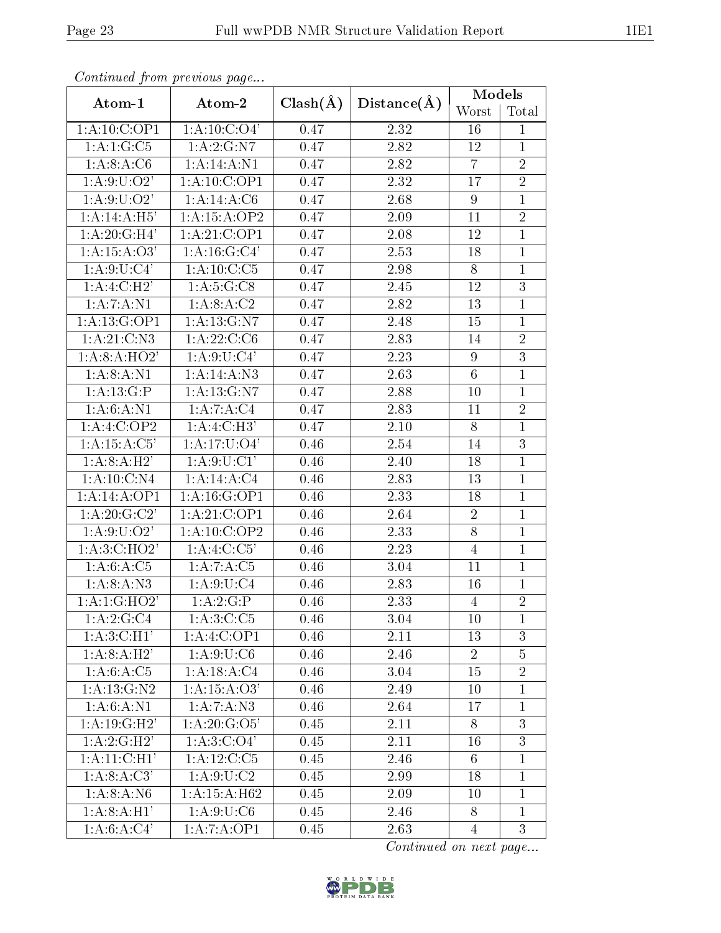|                                          | Continuea from previous page |              |                | Models          |                |
|------------------------------------------|------------------------------|--------------|----------------|-----------------|----------------|
| Atom-1                                   | Atom-2                       | $Clash(\AA)$ | Distance(A)    | Worst           | Total          |
| 1:A:10:C:OP1                             | 1: A: 10: C: O4'             | 0.47         | 2.32           | 16              | 1              |
| 1:A:1:G:C5                               | 1:A:2:G:N7                   | 0.47         | 2.82           | 12              | $\mathbf{1}$   |
| 1: A:8: A:C6                             | 1: A: 14: A: N1              | 0.47         | 2.82           | $\overline{7}$  | $\overline{2}$ |
| 1: A:9: U:O2'                            | 1:A:10:C:OP1                 | 0.47         | 2.32           | 17              | $\overline{2}$ |
| 1: A:9: U: O2'                           | 1:A:14:A:C6                  | 0.47         | 2.68           | 9               | $\mathbf{1}$   |
| 1:A:14:A:H5'                             | 1:A:15:A:OP2                 | 0.47         | 2.09           | 11              | $\overline{2}$ |
| 1:A:20:G:H4'                             | 1:A:21:C:OP1                 | 0.47         | 2.08           | 12              | $\mathbf{1}$   |
| 1:A:15:A:O3'                             | 1: A: 16: G: C4'             | 0.47         | 2.53           | 18              | $\mathbf{1}$   |
| $1: A:9:\overline{U:Cl'}$                | 1: A:10: C: C5               | 0.47         | 2.98           | 8               | $\mathbf{1}$   |
| 1:A:4:C:H2'                              | 1: A:5: G:CS                 | 0.47         | 2.45           | 12              | $\mathfrak{Z}$ |
| $1:A:7:A:\overline{N1}$                  | 1:A:8:A:C2                   | 0.47         | 2.82           | 13              | $\overline{1}$ |
| 1: A: 13: G: OP1                         | 1: A: 13: G: N7              | 0.47         | 2.48           | 15              | $\mathbf{1}$   |
| 1:A:21:C:N3                              | 1: A:22:C:C6                 | 0.47         | 2.83           | 14              | $\overline{2}$ |
| 1: A:8: A:HO2'                           | 1: A:9:U:C4'                 | 0.47         | 2.23           | 9               | $\overline{3}$ |
| 1: A:8:A: N1                             | 1:A:14:A:N3                  | 0.47         | 2.63           | $6\phantom{.}6$ | $\mathbf{1}$   |
| 1: A:13: G:P                             | 1: A: 13: G: N7              | 0.47         | 2.88           | 10              | $\mathbf{1}$   |
| 1: A:6:A:N1<br>1:A:7:A:C4                |                              | 0.47         | 2.83           | 11              | $\overline{2}$ |
| 1:A:4:C:OP2                              | 1:A:4:C:H3'                  | 0.47         | 2.10           | 8               | $\mathbf{1}$   |
| 1:A:15:A:C5'<br>1: A:17: U:O4'           |                              | 0.46         | 2.54           | 14              | $\overline{3}$ |
| 1: A:8:A:H2'<br>1: A:9:U:CI'             |                              | 0.46         | 2.40           | 18              | $\mathbf{1}$   |
| 1:A:10:C:N4<br>1:A:14:A:C4               |                              | 0.46         | 2.83           | 13              | $\mathbf{1}$   |
| 1:A:14:A:OP1                             | 1: A: 16: G: OP1             | 0.46         | 2.33           | 18              | $\mathbf{1}$   |
| 1: A:20: G:C2'                           | 1:A:21:C:OP1                 | 0.46         | 2.64           | $\overline{2}$  | $\mathbf{1}$   |
| 1: A:9: U:O2'                            | 1:A:10:C:OP2                 | 0.46         | 2.33           | 8               | $\mathbf{1}$   |
| 1:A:3:C:HO2'                             | $1:A:4:\overline{C:C5'}$     | 0.46         | 2.23           | $\overline{4}$  | $\mathbf{1}$   |
| 1:A:6:A:C5                               | 1:A:7:A:C5<br>0.46<br>3.04   |              |                | 11              | $\mathbf{1}$   |
| 1: A:8:A: N3<br>1: A:9:U:C4<br>0.46      |                              | 2.83         | 16             | $\mathbf{1}$    |                |
| 1:A:1:GHO2'<br>1:A:2:G:P<br>2.33<br>0.46 |                              |              | $\overline{4}$ | $\overline{2}$  |                |
| 1:A:2:G:C4                               | 1: A:3:C:C5                  | 0.46         | 3.04           | 10              | 1              |
| 1:A:3:C:H1'                              | 1:A:4:C:OP1                  | 0.46         | 2.11           | 13              | 3              |
| 1:A:8:A:H2'                              | 1: A:9:U:C6                  | 0.46         | 2.46           | $\overline{2}$  | $\overline{5}$ |
| 1: A:6: A: C5                            | 1:A:18:A:C4                  | $0.46\,$     | 3.04           | 15              | $\overline{2}$ |
| 1: A: 13: G: N2                          | 1: A:15: A:O3'               | 0.46         | 2.49           | 10              | $\mathbf{1}$   |
| 1: A:6:A:N1                              | 1:A:7:A:N3                   | 0.46         | 2.64           | 17              | $\mathbf{1}$   |
| 1: A:19: G:H2'                           | 1: A:20: G:O5'               | 0.45         | 2.11           | 8               | $\overline{3}$ |
| 1:A:2:G:H2'                              | 1: A:3:C O4'                 | 0.45         | 2.11           | 16              | $\overline{3}$ |
| 1: A:11:C:H1'                            | 1: A: 12: C: C5              | 0.45         | 2.46           | 6               | $\mathbf{1}$   |
| $1:\overline{A:8:A:C3}$                  | 1: A:9:U:C2                  | 0.45         | 2.99           | 18              | $\mathbf{1}$   |
| 1: A:8:A: N6                             | 1:A:15:A:H62                 | 0.45         | 2.09           | 10              | $\mathbf{1}$   |
| 1: A:8:A:H1'                             | 1: A:9:U:C6                  | 0.45         | 2.46           | 8               | $\mathbf{1}$   |
| 1:A:6:A:C4'                              | 1:A:7:A:OP1                  | 0.45         | 2.63           | $\overline{4}$  | 3              |

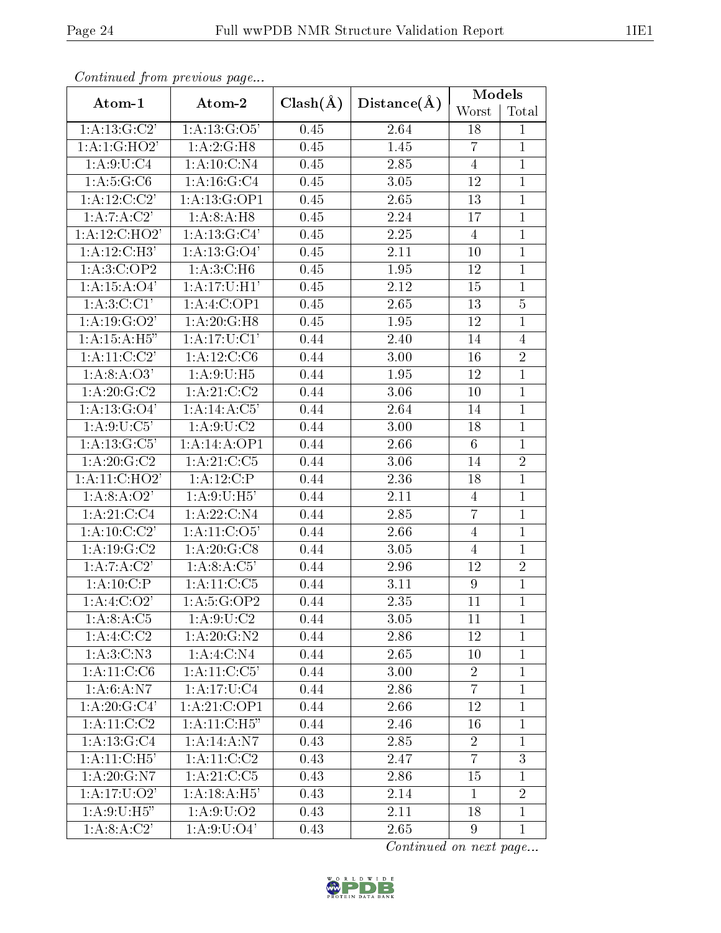| Continuea from previous page |                          |              |                   | Models          |                |
|------------------------------|--------------------------|--------------|-------------------|-----------------|----------------|
| Atom-1                       | Atom-2                   | $Clash(\AA)$ | Distance(A)       | Worst           | Total          |
| 1: A: 13: G: C2'             | 1: A: 13: G: O5'         | 0.45         | 2.64              | 18              | $\mathbf{1}$   |
| $1:\overline{A:1:G:HO2}$     | 1:A:2:G:H8               | 0.45         | 1.45              | $\overline{7}$  | $\mathbf{1}$   |
| 1: A:9: U: C4                | 1: A: 10: C: N4          | 0.45         | 2.85              | $\overline{4}$  | $\mathbf{1}$   |
| 1: A:5:G:C6                  | 1: A: 16: G: C4          | 0.45         | 3.05              | 12              | $\mathbf{1}$   |
| $1:A:12:C:\overline{C2'}$    | 1:A:13:G:OP1             | 0.45         | 2.65              | 13              | $\mathbf{1}$   |
| 1:A:7:A:C2'                  | 1: A:8:A:H8              | 0.45         | 2.24              | 17              | $\mathbf{1}$   |
| 1:A:12:C:HO2'                | 1:A:13:G:C4'             | 0.45         | 2.25              | 4               | $\mathbf{1}$   |
| 1:A:12:C:H3'                 | 1: A: 13: G: O4'         | 0.45         | 2.11              | 10              | $\mathbf{1}$   |
| 1:A:3:C:OP2                  | 1: A:3:C:H6              | 0.45         | 1.95              | 12              | $\overline{1}$ |
| 1:A:15:A:O4'                 | 1: A:17:U:H1'            | 0.45         | 2.12              | 15              | $\mathbf{1}$   |
| $1:\overline{A:3:C:C1'}$     | 1:A:4:C:OP1              | 0.45         | $\overline{2.65}$ | 13              | $\overline{5}$ |
| 1: A:19: G:O2'               | 1:A:20:G:H8              | 0.45         | 1.95              | 12              | $\mathbf{1}$   |
| 1: A:15:A:H5"                | 1: A:17: U:CI'           | 0.44         | 2.40              | 14              | $\overline{4}$ |
| 1: A:11:C:C2'                | 1:A:12:C:C6              | 0.44         | 3.00              | 16              | $\overline{2}$ |
| 1:A:8:A:O3'                  | 1: A:9:U:H5              | 0.44         | 1.95              | 12              | $\mathbf{1}$   |
| 1: A:20: G: C2               | 1: A:21: C:C2            | 0.44         | 3.06              | 10              | $\mathbf{1}$   |
| 1: A: 13: G: O4'             | 1:A:14:A:C5'             | 0.44         | 2.64              | 14              | $\mathbf{1}$   |
| 1: A:9:U:C5'                 | 1: A:9:U:C2              | 0.44         | 3.00              | 18              | $\mathbf{1}$   |
| 1:A:13:G:C5'                 | 1:A:14:A:OP1             | 0.44         | 2.66              | $6\phantom{.}6$ | $\mathbf{1}$   |
| 1: A:20: G: C2               | 1: A:21: C: C5           | 0.44         | 3.06              | 14              | $\overline{2}$ |
| 1:A:11:C:HO2'                | 1:A:12:C:P               | 0.44         | 2.36              | 18              | $\mathbf{1}$   |
| 1:A:8:A:O2'                  | 1: A:9:U:H5'             | 0.44         | 2.11              | 4               | $\mathbf{1}$   |
| 1:A:21:C:C4                  | 1:A:22:C:N4              | 0.44         | 2.85              | $\overline{7}$  | $\mathbf{1}$   |
| 1:A:10:C:C2'                 | 1: A: 11: C: O5'         | 0.44         | 2.66              | $\overline{4}$  | $\mathbf{1}$   |
| 1: A:19: G:C2                | 1: A:20: G:CS            | 0.44         | 3.05              | $\overline{4}$  | $\mathbf{1}$   |
| 1:A:7:A:C2'                  | 1:A:8:A:C5'              | 0.44         | 2.96              | 12              | $\overline{2}$ |
| 1:A:10:C:P                   | 1: A: 11: C: C5          | 0.44         | 3.11              | 9               | $\mathbf{1}$   |
| 1:A:4:C.O2'                  | 1: A:5: G:OP2            | 0.44         | $\overline{2.35}$ | 11              | $\overline{1}$ |
| 1:A:8:A:C5                   | 1: A:9: U:C2             | 0.44         | 3.05              | 11              | $\mathbf{1}$   |
| 1:A:4:C:C2                   | 1:A:20:G:N2              | 0.44         | 2.86              | 12              | $\mathbf{1}$   |
| 1:A:3:C:N3                   | 1:A:4:C:N4               | 0.44         | 2.65              | 10              | $\mathbf{1}$   |
| 1:A:11:C:C6                  | 1:A:11:C:C5'             | 0.44         | 3.00              | $\sqrt{2}$      | $\mathbf{1}$   |
| 1: A:6: A: N7                | $1:A:17:U:\overline{C4}$ | 0.44         | 2.86              | $\overline{7}$  | $\mathbf{1}$   |
| 1: A:20: G:C4'               | 1:A:21:C:OP1             | 0.44         | 2.66              | 12              | $\mathbf{1}$   |
| 1: A:11:C:C2                 | 1: A:11:C:H5"            | 0.44         | 2.46              | 16              | $\mathbf{1}$   |
| 1:A:13:G:C4                  | 1:A:14:A:N7              | 0.43         | 2.85              | $\sqrt{2}$      | $\mathbf{1}$   |
| 1: A:11:C:H5'                | 1:A:11:C:C2              | 0.43         | 2.47              | $\overline{7}$  | 3              |
| 1: A:20: G: N7               | $1:\overline{A:21:C:C5}$ | 0.43         | 2.86              | 15              | $\mathbf{1}$   |
| 1: A:17: U:O2'               | 1: A:18:A:H5'            | 0.43         | 2.14              | $\mathbf{1}$    | $\overline{2}$ |
| 1: A:9:U:H5"                 | 1: A:9:U:O2              | 0.43         | 2.11              | 18              | $\mathbf{1}$   |
| 1:A:8:A:C2'                  | 1: A:9: U: O4'           | 0.43         | 2.65              | 9               | $\mathbf{1}$   |

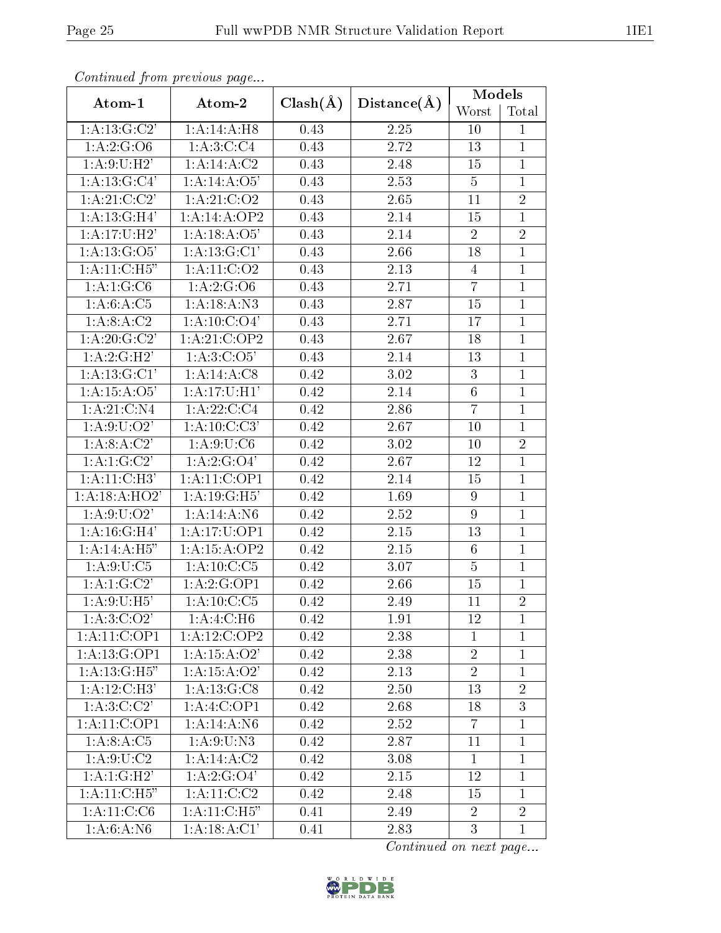| Continuaca from previous page              |                            |              |             | Models         |                |
|--------------------------------------------|----------------------------|--------------|-------------|----------------|----------------|
| Atom-1                                     | Atom-2                     | $Clash(\AA)$ | Distance(A) | Worst          | Total          |
| 1: A: 13: G: C2'<br>1:A:14:A:H8            |                            | 0.43         | 2.25        | 10             | $\mathbf{1}$   |
| 1: A:2: G:O6                               | 1: A:3:C:C4                | 0.43         | 2.72        | 13             | $\mathbf{1}$   |
| 1: A:9:U:H2'                               | 1:A:14:A:C2                | 0.43         | 2.48        | 15             | $\mathbf{1}$   |
| 1: A: 13: G: C4'                           | 1:A:14:A:O5'               | 0.43         | 2.53        | $\overline{5}$ | $\mathbf{1}$   |
| 1: A:21: C:C2'                             | 1: A:21: C:O2              | 0.43         | 2.65        | 11             | $\overline{2}$ |
| 1:A:13:GH4'                                | 1:A:14:A:OP2               | 0.43         | 2.14        | 15             | $\mathbf{1}$   |
| 1: A:17:U:H2'                              | 1:A:18:A:O5'               | 0.43         | 2.14        | $\sqrt{2}$     | $\overline{2}$ |
| 1: A:13: G:O5'                             | 1:A:13:G:Cl'               | 0.43         | 2.66        | 18             | $\mathbf{1}$   |
| 1: A:11:C:H5"                              | 1: A: 11: C: O 2           | 0.43         | 2.13        | $\overline{4}$ | $\overline{1}$ |
| 1:A:1:G:C6                                 | 1:A:2:G:O6                 | 0.43         | 2.71        | $\overline{7}$ | $\mathbf{1}$   |
| 1: A:6: A: C5                              | 1:A:18:A:N3                | 0.43         | 2.87        | 15             | $\overline{1}$ |
| 1:A:8:A:C2                                 | 1: A: 10: C: O4'           | 0.43         | 2.71        | 17             | $\mathbf 1$    |
| 1: A:20: G:C2'                             | 1:A:21:C:OP2               | 0.43         | 2.67        | 18             | $\overline{1}$ |
| 1:A:2:G:H2'                                | 1: A:3: C:O5'              | 0.43         | 2.14        | 13             | $\mathbf{1}$   |
| 1: A:13: G:CI'                             | 1:A:14:A:C8                | 0.42         | 3.02        | 3              | $\mathbf{1}$   |
| 1: A:15: A:O5'<br>1: A:17:U:H1'            |                            | 0.42         | 2.14        | $\overline{6}$ | $\mathbf{1}$   |
| 1: A:21: C: N4<br>1: A: 22: C: C4          |                            | 0.42         | 2.86        | $\overline{7}$ | $\mathbf{1}$   |
| $1: A:9: \overline{U:O2'}$<br>1:A:10:C:C3' |                            | 0.42         | 2.67        | 10             | $\mathbf{1}$   |
| 1:A:8:A:C2'<br>1: A:9:U:C6                 |                            | 0.42         | 3.02        | 10             | $\overline{2}$ |
| 1:A:1:G:C2'<br>1:A:2:G:O4'                 |                            | 0.42         | 2.67        | 12             | $\overline{1}$ |
| 1:A:11:C:H3'<br>1:A:11:C:OP1               |                            | 0.42         | 2.14        | 15             | $\mathbf{1}$   |
| 1: A:18: A:HO2'                            | 1: A:19: G:H5'             | 0.42         | 1.69        | 9              | $\mathbf 1$    |
| 1: A:9: U:O2'                              | 1:A:14:A:N6                | 0.42         | 2.52        | 9              | $\mathbf{1}$   |
| 1:A:16:GI:H4'                              | 1:A:17:U:OP1               | 0.42         | 2.15        | 13             | $\mathbf{1}$   |
| 1: A:14: A:H5"                             | 1:A:15:A:OP2               | 0.42         | 2.15        | 6              | $\mathbf{1}$   |
| 1: A:9:U:C5                                | 1: A:10: C: C5             | 0.42         | 3.07        | $\overline{5}$ | $\overline{1}$ |
| 1:A:1:G:C2'                                | 1:A:2:G:OP1                | 0.42         | 2.66        | 15             | $\mathbf{1}$   |
| 1: A:9:U:H5'                               | $1:\overline{A:10:C:C5}$   | 0.42         | 2.49        | 11             | $\overline{2}$ |
| 1: A:3:C:O2'                               | 1:A:4:C:H6                 | 0.42         | 1.91        | 12             | $\mathbf{1}$   |
| 1:A:11:C:OP1                               | 1:A:12:C:OP2               | 0.42         | 2.38        | $\mathbf{1}$   | $\mathbf{1}$   |
| 1:A:13:G:OP1                               | 1: A: 15: A: O2'           | 0.42         | 2.38        | $\sqrt{2}$     | $\mathbf{1}$   |
| 1:A:13:G:H5"                               | $1:A:15:A:\overline{O2'}$  | 0.42         | 2.13        | $\overline{2}$ | $\mathbf{1}$   |
| 1:A:12:C:H3'                               | 1: A: 13: G: C8            | 0.42         | 2.50        | 13             | $\overline{2}$ |
| $1:A:3:\overline{C:C2'}$                   | 1:A:4:C:OP1                | 0.42         | 2.68        | 18             | 3              |
| 1: A:11: C:OP1                             | 1:A:14:A:N6                | 0.42         | 2.52        | $\overline{7}$ | $\mathbf{1}$   |
| 1:A:8:A:C5                                 | 1: A:9:U:N3                | 0.42         | 2.87        | 11             | $\mathbf{1}$   |
| 1: A:9:U:C2                                | 1:A:14:A:C2                | 0.42         | 3.08        | $\mathbf{1}$   | $\mathbf{1}$   |
| 1:A:1:G:H2'                                | 1:A:2:G:O4'                | 0.42         | 2.15        | 12             | $\mathbf{1}$   |
| 1: A:11:C:H5"                              | 1:A:11:C:C2                | 0.42         | 2.48        | 15             | $\mathbf{1}$   |
| 1: A:11: C: C6                             | $1: A:11:\overline{C:H5"}$ | 0.41         | 2.49        | $\overline{2}$ | $\overline{2}$ |
| 1: A:6: A: N6                              | 1: A:18:A:C1'              | 0.41         | 2.83        | 3              | $\mathbf{1}$   |

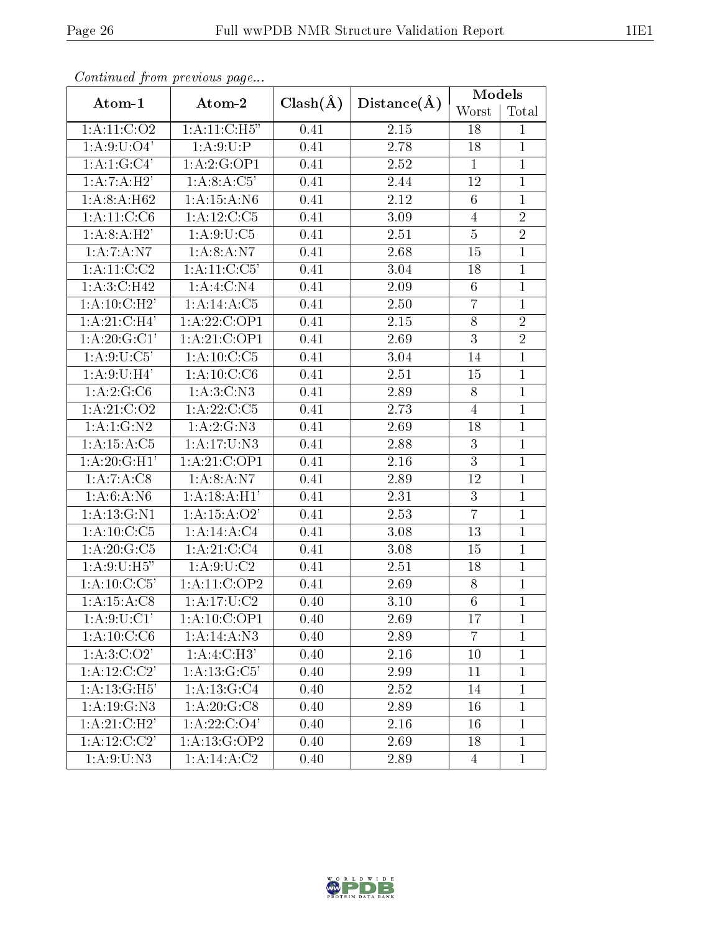| Continual from previous page                                                                                                                       |                          |              |                   | <b>Models</b>   |                |
|----------------------------------------------------------------------------------------------------------------------------------------------------|--------------------------|--------------|-------------------|-----------------|----------------|
| Atom-1                                                                                                                                             | Atom-2                   | $Clash(\AA)$ | Distance(A)       | Worst           | Total          |
| 1:A:11:C:O2                                                                                                                                        | 1: A:11:C:H5"            | 0.41         | 2.15              | 18              | $\mathbf{1}$   |
| 1: A:9: U:O4'                                                                                                                                      | 1: A:9:U:P               | 0.41         | 2.78              | 18              | $\mathbf{1}$   |
| 1: A: 1: G: C4'                                                                                                                                    | 1:A:2:G:OP1              | 0.41         | 2.52              | $\mathbf{1}$    | $\overline{1}$ |
| 1:A:7:A:H2'                                                                                                                                        | 1:A:8:A:C5'              | 0.41         | 2.44              | 12              | $\mathbf{1}$   |
| 1:A:8:A:H62                                                                                                                                        | 1: A: 15: A: N6          | 0.41         | 2.12              | $6\phantom{.}6$ | $\mathbf{1}$   |
| 1: A: 11: C: C6                                                                                                                                    | 1: A: 12: C: C5          | 0.41         | 3.09              | 4               | $\overline{2}$ |
| 1: A:8: A:H2'                                                                                                                                      | 1: A:9:U:C5              | 0.41         | 2.51              | $\overline{5}$  | $\overline{2}$ |
| 1:A:7:A:N7                                                                                                                                         | 1: A:8:A:N7              | 0.41         | 2.68              | 15              | $\overline{1}$ |
| 1: A:11:C:C2                                                                                                                                       | 1:A:11:C:C5'             | 0.41         | 3.04              | 18              | $\overline{1}$ |
| 1: A:3:C:H42                                                                                                                                       | 1: A:4: C: N4            | 0.41         | 2.09              | 6               | $\mathbf{1}$   |
| 1:A:10:C:H2'                                                                                                                                       | 1:A:14:A:C5              | 0.41         | 2.50              | $\overline{7}$  | $\mathbf{1}$   |
| $1:\stackrel{\textstyle\mathbf{A}}{1}:\stackrel{\textstyle\mathbf{21}}{1}:\stackrel{\textstyle\mathbf{C}}{1}:\stackrel{\textstyle\mathbf{H}}{1}^*$ | 1:A:22:C:OP1             | 0.41         | 2.15              | $8\,$           | $\overline{2}$ |
| 1: A:20: G:Cl'                                                                                                                                     | 1:A:21:C:OP1             | 0.41         | 2.69              | $\overline{3}$  | $\overline{2}$ |
| 1: A:9:U:C5'<br>1: A: 10: C: C5                                                                                                                    |                          | 0.41         | 3.04              | 14              | $\mathbf{1}$   |
| 1: A:9:U:H4'<br>1: A: 10: C: C6                                                                                                                    |                          | 0.41         | 2.51              | 15              | $\mathbf{1}$   |
| 1:A:2:G:C6<br>1: A:3:C: N3                                                                                                                         |                          | 0.41         | 2.89              | 8               | $\mathbf{1}$   |
| 1: A:21: C:O2<br>1: A: 22: C: C5                                                                                                                   |                          | 0.41         | 2.73              | $\overline{4}$  | $\mathbf{1}$   |
| 1: A: 1: G: N2<br>1: A: 2: G: N3                                                                                                                   |                          | 0.41         | 2.69              | 18              | $\mathbf{1}$   |
| 1:A:15:A:C5<br>1:A:17:U:N3                                                                                                                         |                          | 0.41         | 2.88              | 3               | $\mathbf{1}$   |
| 1:A:20:G:H1'                                                                                                                                       | 1:A:21:C:OP1             | 0.41         | 2.16              | 3               | $\mathbf{1}$   |
| 1:A:7:A:C8                                                                                                                                         | 1: A:8:A: N7             | 0.41         | 2.89              | 12              | $\mathbf{1}$   |
| 1: A:6:A: N6                                                                                                                                       | 1:A:18:A:H1'             | 0.41         | 2.31              | 3               | $\mathbf{1}$   |
| 1: A: 13: G: N1                                                                                                                                    | 1: A:15: A:O2'           | 0.41         | 2.53              | $\overline{7}$  | $\mathbf{1}$   |
| 1: A: 10: C: C5                                                                                                                                    | 1:A:14:A:C4              | 0.41         | 3.08              | 13              | $\mathbf{1}$   |
| 1: A:20: G: C5                                                                                                                                     | 1: A:21: C: C4           | 0.41         | 3.08              | 15              | $\mathbf{1}$   |
| 1: A:9: U:H5"                                                                                                                                      | $1:\overline{A:9:U:C2}$  | 0.41         | 2.51              | 18              | $\mathbf{1}$   |
| 1: A: 10: C: C5'                                                                                                                                   | 1:A:11:C:OP2             | 0.41         | 2.69              | 8               | $\mathbf{1}$   |
| 1:A:15:A:C8                                                                                                                                        | $1:\overline{A:17:U:C2}$ | 0.40         | $\overline{3.10}$ | $\overline{6}$  | $\overline{1}$ |
| 1: A:9:U:Cl'                                                                                                                                       | 1: A:10:C:OP1            | 0.40         | 2.69              | 17              | $\mathbf 1$    |
| $1:A:10:\overline{C:C6}$                                                                                                                           | 1:A:14:A:N3              | 0.40         | 2.89              | $\overline{7}$  | $\mathbf{1}$   |
| 1: A:3:C:O2'                                                                                                                                       | 1:A:4:C:H3'              | 0.40         | 2.16              | 10              | $\mathbf{1}$   |
| $1:A:\overline{12:C:C2'}$                                                                                                                          | 1:A:13:G:C5'             | 0.40         | 2.99              | 11              | $\mathbf{1}$   |
| 1: A: 13: G: H5'                                                                                                                                   | 1:A:13:G:C4              | 0.40         | 2.52              | 14              | $\mathbf{1}$   |
| 1: A: 19: G: N3                                                                                                                                    | 1: A:20: G:CS            | 0.40         | 2.89              | 16              | $\mathbf{1}$   |
| 1:A:21:C:H2'                                                                                                                                       | 1: A: 22: C: O4'         | 0.40         | 2.16              | 16              | $\mathbf{1}$   |
| 1: A:12:C:C2'                                                                                                                                      | 1:A:13:G:OP2             | 0.40         | 2.69              | 18              | $\mathbf{1}$   |
| 1: A:9: U: N3                                                                                                                                      | $1:A:14.\overline{A:C2}$ | 0.40         | 2.89              | $\overline{4}$  | $\overline{1}$ |

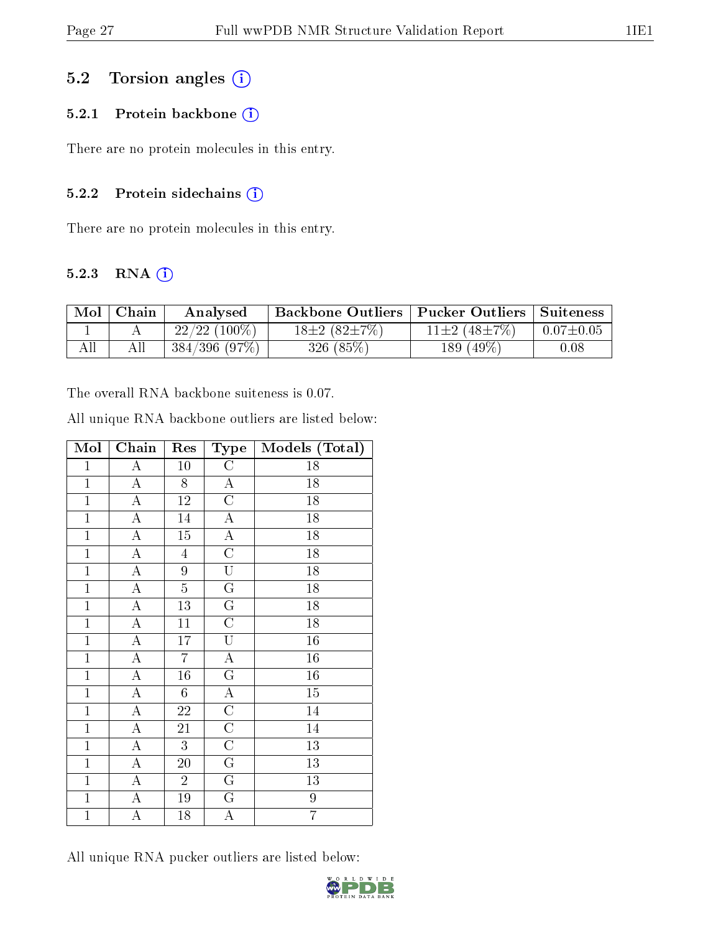### 5.2 Torsion angles (i)

#### 5.2.1 Protein backbone (i)

There are no protein molecules in this entry.

#### 5.2.2 Protein sidechains (i)

There are no protein molecules in this entry.

#### 5.2.3 RNA [O](https://www.wwpdb.org/validation/2017/NMRValidationReportHelp#rna)i

| Mol | Chain | Analysed        | Backbone Outliers   Pucker Outliers   Suiteness |                            |                 |
|-----|-------|-----------------|-------------------------------------------------|----------------------------|-----------------|
|     |       | $22/22$ (100\%) | $18\pm2(82\pm7\%)$                              | 11 $\pm 2$ (48 $\pm 7\%$ ) | $0.07 \pm 0.05$ |
| All |       | 384/396(97%)    | 326(85%)                                        | 189 $(49\%)$               | 0.08            |

The overall RNA backbone suiteness is 0.07.

| All unique RNA backbone outliers are listed below: |  |  |  |  |
|----------------------------------------------------|--|--|--|--|
|----------------------------------------------------|--|--|--|--|

| Mol            | $\overline{\text{Chain}}$ | Res             | Type                    | Models (Total)   |
|----------------|---------------------------|-----------------|-------------------------|------------------|
| $\mathbf{1}$   | $\boldsymbol{A}$          | 10              | $\mathcal{C}$           | 18               |
| $\mathbf{1}$   | $\boldsymbol{A}$          | 8               | $\boldsymbol{A}$        | 18               |
| $\overline{1}$ | $\overline{\rm A}$        | $\overline{12}$ | $\overline{\rm C}$      | 18               |
| $\mathbf{1}$   | $\overline{A}$            | 14              | $\mathbf A$             | 18               |
| $\mathbf{1}$   | $\overline{\rm A}$        | 15              | $\overline{A}$          | 18               |
| $\mathbf{1}$   | $\overline{\rm A}$        | $\overline{4}$  | $\overline{C}$          | 18               |
| $\mathbf{1}$   | $\mathbf A$               | $\overline{9}$  | $\overline{\mathrm{U}}$ | 18               |
| $\overline{1}$ | $\overline{\rm A}$        | $\overline{5}$  | $\overline{\mathrm{G}}$ | 18               |
| $\overline{1}$ | $\overline{\rm A}$        | 13              | $\overline{\mathrm{G}}$ | 18               |
| $\overline{1}$ | $\overline{\rm A}$        | 11              | $\overline{\rm C}$      | $\overline{18}$  |
| $\mathbf{1}$   | $\boldsymbol{A}$          | 17              | $\overline{\mathrm{U}}$ | 16               |
| $\overline{1}$ | $\overline{\rm A}$        | $\overline{7}$  | $\overline{\rm A}$      | 16               |
| $\mathbf{1}$   | $\overline{\mathbf{A}}$   | $16\,$          | $\overline{\mathrm{G}}$ | 16               |
| $\mathbf{1}$   | $\boldsymbol{A}$          | 6               | $\boldsymbol{A}$        | 15               |
| $\overline{1}$ | $\overline{\rm A}$        | 22              | $\overline{\rm C}$      | 14               |
| $\mathbf{1}$   | $\overline{\rm A}$        | 21              | $\overline{\rm C}$      | $\overline{14}$  |
| $\mathbf{1}$   | $\overline{\rm A}$        | 3               | $\overline{\rm C}$      | 13               |
| $\overline{1}$ | $\overline{\rm A}$        | 20              | $\overline{\mathrm{G}}$ | 13               |
| $\mathbf{1}$   | $\overline{\rm A}$        | $\overline{2}$  | G                       | 13               |
| $\mathbf{1}$   | A                         | 19              | G                       | $\boldsymbol{9}$ |
| $\mathbf{1}$   | $\mathbf{A}$              | 18              | $\boldsymbol{A}$        | $\overline{7}$   |

All unique RNA pucker outliers are listed below:

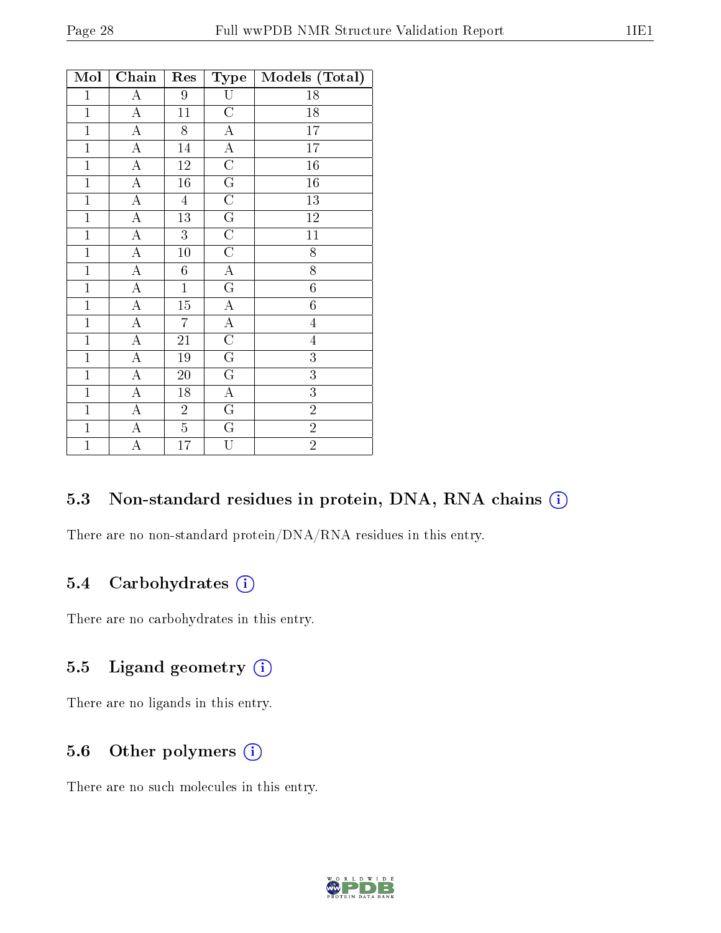| Mol            | Chain              | Res             | Type                    | Models (Total)   |
|----------------|--------------------|-----------------|-------------------------|------------------|
| $\mathbf{1}$   | $\overline{\rm A}$ | 9               | U                       | 18               |
| $\overline{1}$ | $\overline{\rm A}$ | 11              | $\overline{\rm C}$      | 18               |
| $\overline{1}$ | $\boldsymbol{A}$   | 8               | $\boldsymbol{A}$        | $\overline{17}$  |
| $\mathbf{1}$   | $\overline{A}$     | 14              | $\overline{A}$          | $17\,$           |
| $\mathbf{1}$   | $\overline{\rm A}$ | 12              | $\overline{\rm C}$      | 16               |
| $\overline{1}$ | $\overline{A}$     | $\overline{16}$ | $\overline{\mathrm{G}}$ | $\overline{16}$  |
| $\mathbf{1}$   | $\overline{A}$     | $\overline{4}$  | $\mathcal C$            | 13               |
| $\mathbf{1}$   | $\boldsymbol{A}$   | 13              | G                       | $12\,$           |
| $\overline{1}$ | $\overline{\rm A}$ | $\overline{3}$  | $\overline{\rm C}$      | $\overline{11}$  |
| $\mathbf{1}$   | $\boldsymbol{A}$   | 10              | $\overline{C}$          | $\overline{8}$   |
| $\overline{1}$ | $\overline{A}$     | $\sqrt{6}$      | $\overline{A}$          | $\overline{8}$   |
| $\mathbf{1}$   | $\overline{\rm A}$ | $\mathbf{1}$    | $G\,$                   | $\boldsymbol{6}$ |
| $\overline{1}$ | $\boldsymbol{A}$   | $15\,$          | $\boldsymbol{A}$        | $\sqrt{6}$       |
| $\overline{1}$ | $\overline{\rm A}$ | $\overline{7}$  | $\overline{A}$          | $\overline{4}$   |
| $\mathbf{1}$   | A                  | 21              | $\overline{\rm C}$      | $\overline{4}$   |
| $\overline{1}$ | $\overline{\rm A}$ | $\overline{19}$ | $\overline{\mathrm{G}}$ | $\overline{3}$   |
| $\mathbf{1}$   | $\overline{A}$     | 20              | $\mathbf G$             | $\overline{3}$   |
| $\mathbf{1}$   | A                  | 18              | $\boldsymbol{A}$        | 3                |
| $\overline{1}$ | $\overline{\rm A}$ | $\overline{2}$  | $\overline{\mathrm{G}}$ | $\overline{2}$   |
| $\mathbf{1}$   | $\boldsymbol{A}$   | $\overline{5}$  | $G\,$                   | $\overline{2}$   |
| $\mathbf{1}$   | А                  | 17              | $\overline{\mathrm{U}}$ | $\overline{2}$   |

#### 5.3 Non-standard residues in protein, DNA, RNA chains (i)

There are no non-standard protein/DNA/RNA residues in this entry.

### 5.4 Carbohydrates  $(i)$

There are no carbohydrates in this entry.

### 5.5 Ligand geometry  $(i)$

There are no ligands in this entry.

### 5.6 [O](https://www.wwpdb.org/validation/2017/NMRValidationReportHelp#nonstandard_residues_and_ligands)ther polymers  $(i)$

There are no such molecules in this entry.

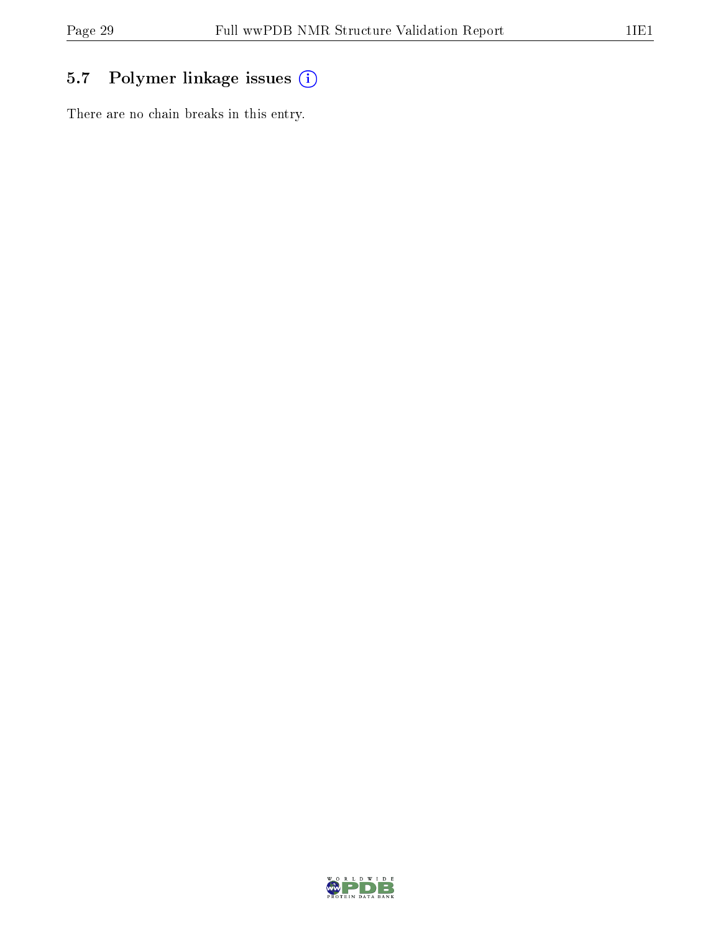## 5.7 Polymer linkage issues (i)

There are no chain breaks in this entry.